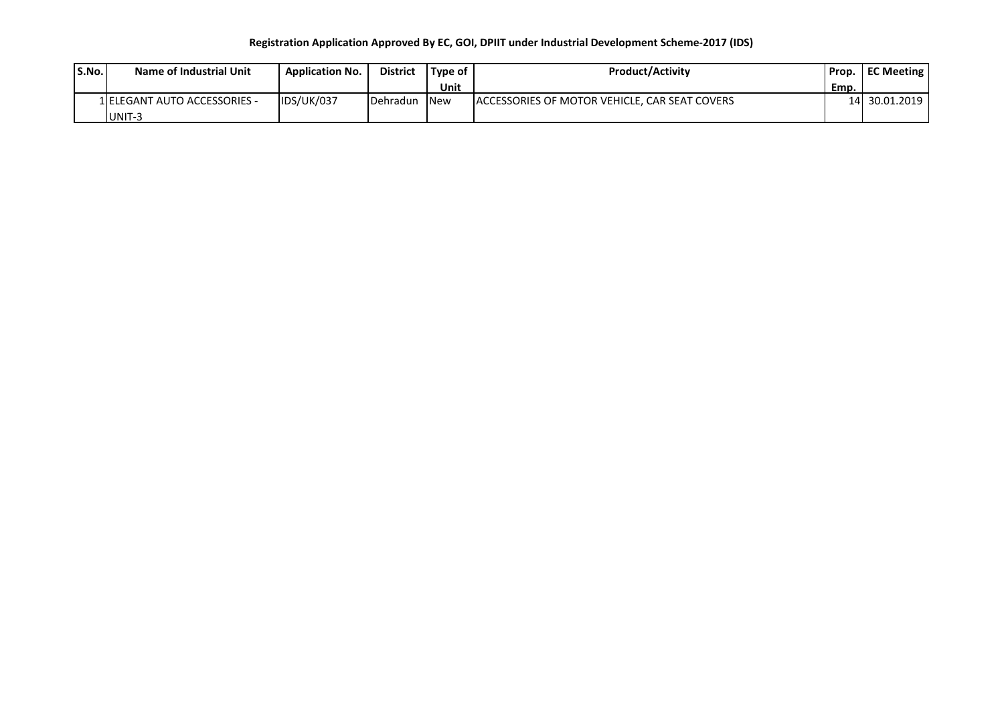## **Registration Application Approved By EC, GOI, DPIIT under Industrial Development Scheme-2017 (IDS)**

| S.No. | Name of Industrial Unit       | <b>Application No.</b> | <b>District</b>  | l Tvpe of  | <b>Product/Activity</b>                        | Prop. | <b>EC Meeting</b> |
|-------|-------------------------------|------------------------|------------------|------------|------------------------------------------------|-------|-------------------|
|       |                               |                        |                  | Unit       |                                                | Emp.  |                   |
|       | 1 IELEGANT AUTO ACCESSORIES - | IDS/UK/037             | <b>IDehradun</b> | <b>New</b> | LACCESSORIES OF MOTOR VEHICLE. CAR SEAT COVERS |       | 14 30.01.2019     |
|       | UNIT-3                        |                        |                  |            |                                                |       |                   |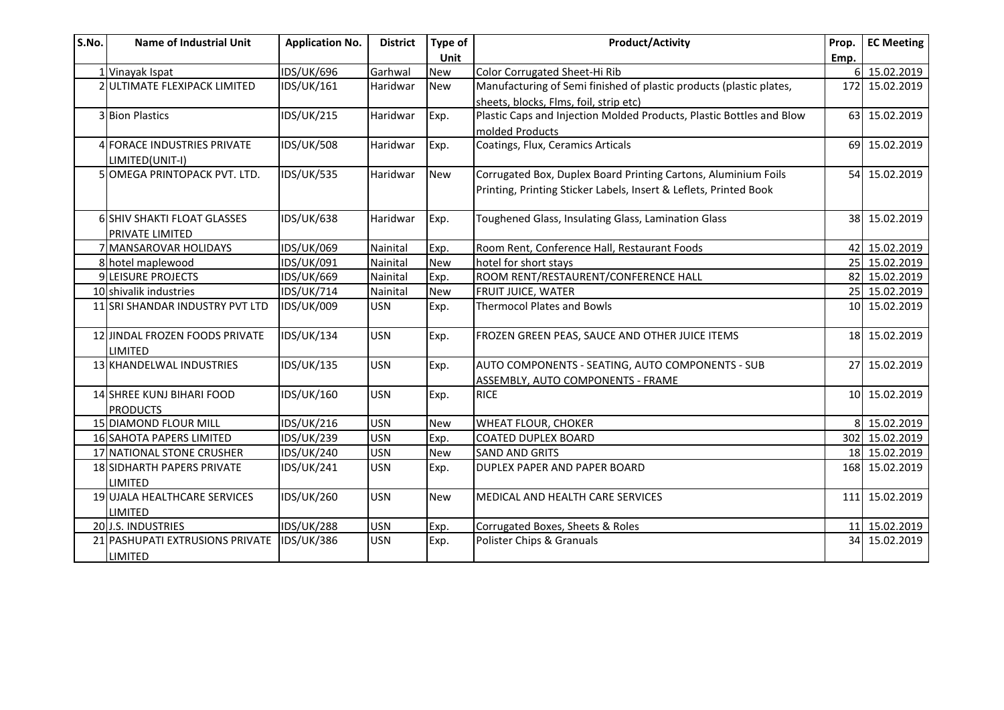| S.No. | <b>Name of Industrial Unit</b>  | <b>Application No.</b> | <b>District</b> | Type of    | <b>Product/Activity</b>                                              | Prop. | <b>EC Meeting</b> |
|-------|---------------------------------|------------------------|-----------------|------------|----------------------------------------------------------------------|-------|-------------------|
|       |                                 |                        |                 | Unit       |                                                                      | Emp.  |                   |
|       | 1 Vinayak Ispat                 | <b>IDS/UK/696</b>      | Garhwal         | <b>New</b> | Color Corrugated Sheet-Hi Rib                                        |       | 6 15.02.2019      |
|       | 2 ULTIMATE FLEXIPACK LIMITED    | IDS/UK/161             | Haridwar        | <b>New</b> | Manufacturing of Semi finished of plastic products (plastic plates,  |       | 172 15.02.2019    |
|       |                                 |                        |                 |            | sheets, blocks, Flms, foil, strip etc)                               |       |                   |
|       | 3 Bion Plastics                 | <b>IDS/UK/215</b>      | Haridwar        | Exp.       | Plastic Caps and Injection Molded Products, Plastic Bottles and Blow |       | 63 15.02.2019     |
|       |                                 |                        |                 |            | molded Products                                                      |       |                   |
|       | 4 FORACE INDUSTRIES PRIVATE     | <b>IDS/UK/508</b>      | Haridwar        | Exp.       | Coatings, Flux, Ceramics Articals                                    |       | 69 15.02.2019     |
|       | LIMITED(UNIT-I)                 |                        |                 |            |                                                                      |       |                   |
|       | 5 OMEGA PRINTOPACK PVT. LTD.    | <b>IDS/UK/535</b>      | Haridwar        | <b>New</b> | Corrugated Box, Duplex Board Printing Cartons, Aluminium Foils       |       | 54 15.02.2019     |
|       |                                 |                        |                 |            | Printing, Printing Sticker Labels, Insert & Leflets, Printed Book    |       |                   |
|       |                                 |                        |                 |            |                                                                      |       |                   |
|       | 6 SHIV SHAKTI FLOAT GLASSES     | <b>IDS/UK/638</b>      | Haridwar        | Exp.       | Toughened Glass, Insulating Glass, Lamination Glass                  |       | 38 15.02.2019     |
|       | PRIVATE LIMITED                 |                        |                 |            |                                                                      |       |                   |
|       | 7 MANSAROVAR HOLIDAYS           | <b>IDS/UK/069</b>      | Nainital        | Exp.       | Room Rent, Conference Hall, Restaurant Foods                         |       | 42 15.02.2019     |
|       | 8 hotel maplewood               | IDS/UK/091             | Nainital        | <b>New</b> | hotel for short stays                                                |       | 25 15.02.2019     |
|       | 9 LEISURE PROJECTS              | <b>IDS/UK/669</b>      | Nainital        | Exp.       | ROOM RENT/RESTAURENT/CONFERENCE HALL                                 |       | 82 15.02.2019     |
|       | 10 shivalik industries          | IDS/UK/714             | Nainital        | <b>New</b> | FRUIT JUICE, WATER                                                   |       | 25 15.02.2019     |
|       | 11 SRI SHANDAR INDUSTRY PVT LTD | <b>IDS/UK/009</b>      | <b>USN</b>      | Exp.       | <b>Thermocol Plates and Bowls</b>                                    |       | 10 15.02.2019     |
|       | 12 JINDAL FROZEN FOODS PRIVATE  | <b>IDS/UK/134</b>      | <b>USN</b>      | Exp.       | FROZEN GREEN PEAS, SAUCE AND OTHER JUICE ITEMS                       |       | 18 15.02.2019     |
|       | LIMITED                         |                        |                 |            |                                                                      |       |                   |
|       | 13 KHANDELWAL INDUSTRIES        | <b>IDS/UK/135</b>      | <b>USN</b>      | Exp.       | AUTO COMPONENTS - SEATING, AUTO COMPONENTS - SUB                     |       | 27 15.02.2019     |
|       |                                 |                        |                 |            | ASSEMBLY, AUTO COMPONENTS - FRAME                                    |       |                   |
|       | 14 SHREE KUNJ BIHARI FOOD       | <b>IDS/UK/160</b>      | <b>USN</b>      | Exp.       | <b>RICE</b>                                                          |       | 10 15.02.2019     |
|       | <b>PRODUCTS</b>                 |                        |                 |            |                                                                      |       |                   |
|       | 15 DIAMOND FLOUR MILL           | IDS/UK/216             | <b>USN</b>      | <b>New</b> | WHEAT FLOUR, CHOKER                                                  |       | 8 15.02.2019      |
|       | 16 SAHOTA PAPERS LIMITED        | <b>IDS/UK/239</b>      | <b>USN</b>      | Exp.       | <b>COATED DUPLEX BOARD</b>                                           |       | 302 15.02.2019    |
|       | 17 NATIONAL STONE CRUSHER       | <b>IDS/UK/240</b>      | <b>USN</b>      | <b>New</b> | <b>SAND AND GRITS</b>                                                |       | 18 15.02.2019     |
|       | 18 SIDHARTH PAPERS PRIVATE      | <b>IDS/UK/241</b>      | <b>USN</b>      | Exp.       | DUPLEX PAPER AND PAPER BOARD                                         |       | 168 15.02.2019    |
|       | LIMITED                         |                        |                 |            |                                                                      |       |                   |
|       | 19 UJALA HEALTHCARE SERVICES    | <b>IDS/UK/260</b>      | <b>USN</b>      | <b>New</b> | MEDICAL AND HEALTH CARE SERVICES                                     |       | 111 15.02.2019    |
|       | <b>LIMITED</b>                  |                        |                 |            |                                                                      |       |                   |
|       | 20 J.S. INDUSTRIES              | <b>IDS/UK/288</b>      | <b>USN</b>      | Exp.       | Corrugated Boxes, Sheets & Roles                                     |       | 11 15.02.2019     |
|       | 21 PASHUPATI EXTRUSIONS PRIVATE | <b>IDS/UK/386</b>      | <b>USN</b>      | Exp.       | Polister Chips & Granuals                                            |       | 34 15.02.2019     |
|       | LIMITED                         |                        |                 |            |                                                                      |       |                   |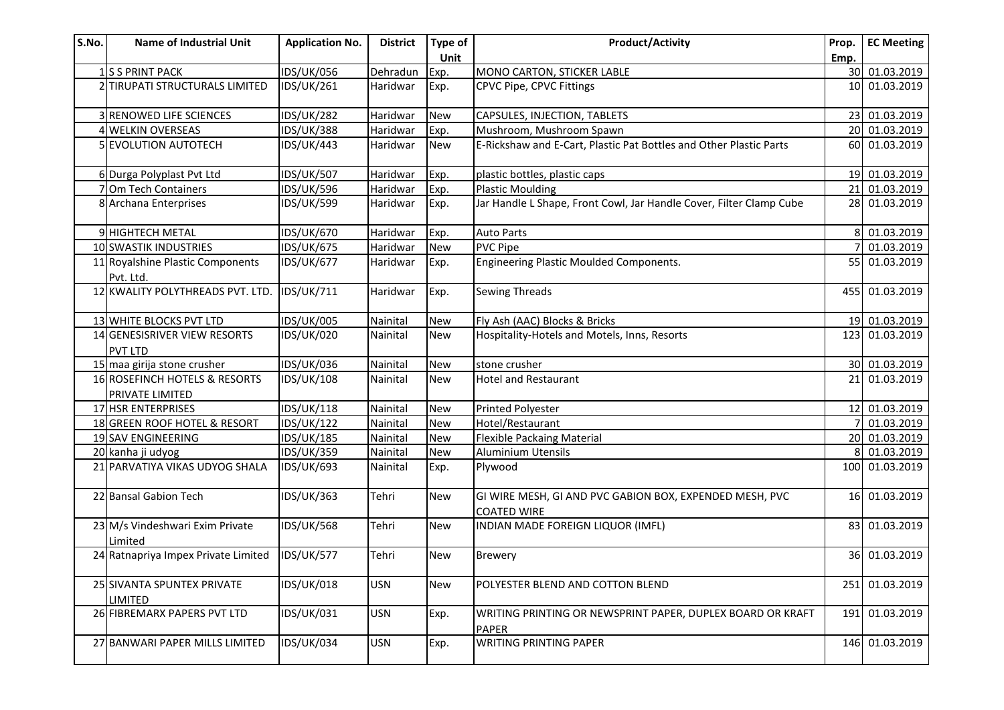| S.No. | <b>Name of Industrial Unit</b>                   | <b>Application No.</b> | <b>District</b> | Type of    | <b>Product/Activity</b>                                                       | Prop.           | <b>EC Meeting</b> |
|-------|--------------------------------------------------|------------------------|-----------------|------------|-------------------------------------------------------------------------------|-----------------|-------------------|
|       |                                                  |                        |                 | Unit       |                                                                               | Emp.            |                   |
|       | 1S S PRINT PACK                                  | <b>IDS/UK/056</b>      | Dehradun        | Exp.       | MONO CARTON, STICKER LABLE                                                    | 30 <sup>l</sup> | 01.03.2019        |
|       | 2 TIRUPATI STRUCTURALS LIMITED                   | IDS/UK/261             | Haridwar        | Exp.       | CPVC Pipe, CPVC Fittings                                                      | 10 <sup>1</sup> | 01.03.2019        |
|       | 3 RENOWED LIFE SCIENCES                          | <b>IDS/UK/282</b>      | Haridwar        | <b>New</b> | CAPSULES, INJECTION, TABLETS                                                  | 23              | 01.03.2019        |
|       | 4 WELKIN OVERSEAS                                | <b>IDS/UK/388</b>      | Haridwar        | Exp.       | Mushroom, Mushroom Spawn                                                      | 20              | 01.03.2019        |
|       | 5 EVOLUTION AUTOTECH                             | IDS/UK/443             | Haridwar        | <b>New</b> | E-Rickshaw and E-Cart, Plastic Pat Bottles and Other Plastic Parts            |                 | 60 01.03.2019     |
|       | 6 Durga Polyplast Pvt Ltd                        | <b>IDS/UK/507</b>      | Haridwar        | Exp.       | plastic bottles, plastic caps                                                 |                 | 19 01.03.2019     |
|       | 7 Om Tech Containers                             | <b>IDS/UK/596</b>      | Haridwar        | Exp.       | <b>Plastic Moulding</b>                                                       |                 | 21 01.03.2019     |
|       | 8 Archana Enterprises                            | <b>IDS/UK/599</b>      | Haridwar        | Exp.       | Jar Handle L Shape, Front Cowl, Jar Handle Cover, Filter Clamp Cube           |                 | 28 01.03.2019     |
|       | 9 HIGHTECH METAL                                 | <b>IDS/UK/670</b>      | Haridwar        | Exp.       | <b>Auto Parts</b>                                                             |                 | 01.03.2019        |
|       | 10 SWASTIK INDUSTRIES                            | IDS/UK/675             | Haridwar        | <b>New</b> | <b>PVC Pipe</b>                                                               |                 | 01.03.2019        |
|       | 11 Royalshine Plastic Components<br>Pvt. Ltd.    | <b>IDS/UK/677</b>      | Haridwar        | Exp.       | Engineering Plastic Moulded Components.                                       | 55              | 01.03.2019        |
|       | 12 KWALITY POLYTHREADS PVT. LTD.                 | IDS/UK/711             | Haridwar        | Exp.       | <b>Sewing Threads</b>                                                         | 455 l           | 01.03.2019        |
|       | 13 WHITE BLOCKS PVT LTD                          | IDS/UK/005             | Nainital        | <b>New</b> | Fly Ash (AAC) Blocks & Bricks                                                 | 19 <sup>l</sup> | 01.03.2019        |
|       | 14 GENESISRIVER VIEW RESORTS<br><b>PVT LTD</b>   | IDS/UK/020             | Nainital        | <b>New</b> | Hospitality-Hotels and Motels, Inns, Resorts                                  | 123             | 01.03.2019        |
|       | 15 maa girija stone crusher                      | <b>IDS/UK/036</b>      | Nainital        | <b>New</b> | stone crusher                                                                 |                 | 30 01.03.2019     |
|       | 16 ROSEFINCH HOTELS & RESORTS<br>PRIVATE LIMITED | <b>IDS/UK/108</b>      | Nainital        | <b>New</b> | <b>Hotel and Restaurant</b>                                                   | 21              | 01.03.2019        |
|       | 17 HSR ENTERPRISES                               | <b>IDS/UK/118</b>      | Nainital        | <b>New</b> | <b>Printed Polyester</b>                                                      | 12              | 01.03.2019        |
|       | 18 GREEN ROOF HOTEL & RESORT                     | <b>IDS/UK/122</b>      | Nainital        | <b>New</b> | Hotel/Restaurant                                                              |                 | 01.03.2019        |
|       | 19 SAV ENGINEERING                               | <b>IDS/UK/185</b>      | Nainital        | <b>New</b> | <b>Flexible Packaing Material</b>                                             | 20              | 01.03.2019        |
|       | 20 kanha ji udyog                                | <b>IDS/UK/359</b>      | Nainital        | <b>New</b> | <b>Aluminium Utensils</b>                                                     |                 | 8 01.03.2019      |
|       | 21 PARVATIYA VIKAS UDYOG SHALA                   | <b>IDS/UK/693</b>      | Nainital        | Exp.       | Plywood                                                                       |                 | 100 01.03.2019    |
|       | 22 Bansal Gabion Tech                            | IDS/UK/363             | Tehri           | <b>New</b> | GI WIRE MESH, GI AND PVC GABION BOX, EXPENDED MESH, PVC<br><b>COATED WIRE</b> |                 | 16 01.03.2019     |
|       | 23 M/s Vindeshwari Exim Private<br>Limited       | <b>IDS/UK/568</b>      | Tehri           | <b>New</b> | INDIAN MADE FOREIGN LIQUOR (IMFL)                                             |                 | 83 01.03.2019     |
|       | 24 Ratnapriya Impex Private Limited              | IDS/UK/577             | Tehri           | <b>New</b> | <b>Brewery</b>                                                                |                 | 36 01.03.2019     |
|       | 25 SIVANTA SPUNTEX PRIVATE<br><b>LIMITED</b>     | IDS/UK/018             | <b>USN</b>      | <b>New</b> | POLYESTER BLEND AND COTTON BLEND                                              | 251             | 01.03.2019        |
|       | 26 FIBREMARX PAPERS PVT LTD                      | IDS/UK/031             | <b>USN</b>      | Exp.       | WRITING PRINTING OR NEWSPRINT PAPER, DUPLEX BOARD OR KRAFT<br><b>PAPER</b>    | 191             | 01.03.2019        |
|       | 27 BANWARI PAPER MILLS LIMITED                   | <b>IDS/UK/034</b>      | <b>USN</b>      | Exp.       | <b>WRITING PRINTING PAPER</b>                                                 | 146             | 01.03.2019        |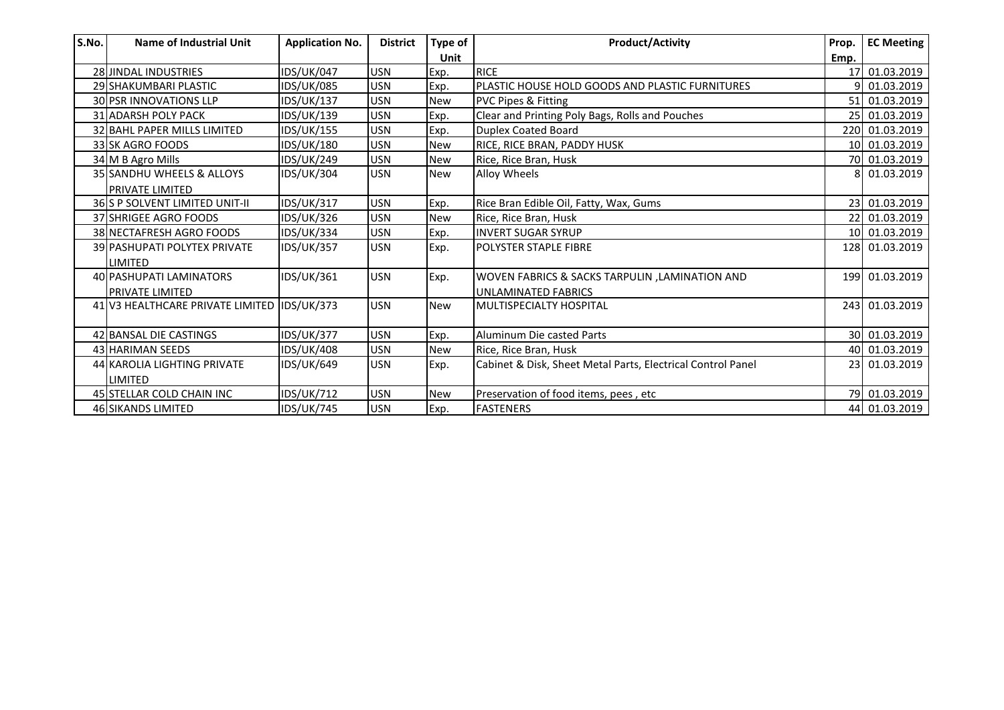| S.No. | Name of Industrial Unit                     | <b>Application No.</b> | <b>District</b> | Type of    | <b>Product/Activity</b>                                     | Prop. | <b>EC Meeting</b> |
|-------|---------------------------------------------|------------------------|-----------------|------------|-------------------------------------------------------------|-------|-------------------|
|       |                                             |                        |                 | Unit       |                                                             | Emp.  |                   |
|       | 28 JINDAL INDUSTRIES                        | <b>IDS/UK/047</b>      | <b>USN</b>      | Exp.       | <b>RICE</b>                                                 |       | 17 01.03.2019     |
|       | 29 SHAKUMBARI PLASTIC                       | <b>IDS/UK/085</b>      | <b>USN</b>      | Exp.       | PLASTIC HOUSE HOLD GOODS AND PLASTIC FURNITURES             |       | 01.03.2019        |
|       | 30 PSR INNOVATIONS LLP                      | <b>IDS/UK/137</b>      | <b>USN</b>      | <b>New</b> | <b>PVC Pipes &amp; Fitting</b>                              |       | 51 01.03.2019     |
|       | <b>31 ADARSH POLY PACK</b>                  | IDS/UK/139             | <b>USN</b>      | Exp.       | Clear and Printing Poly Bags, Rolls and Pouches             |       | 25 01.03.2019     |
|       | 32 BAHL PAPER MILLS LIMITED                 | <b>IDS/UK/155</b>      | <b>USN</b>      | Exp.       | <b>Duplex Coated Board</b>                                  |       | 220 01.03.2019    |
|       | 33 SK AGRO FOODS                            | IDS/UK/180             | <b>USN</b>      | <b>New</b> | RICE, RICE BRAN, PADDY HUSK                                 |       | 10 01.03.2019     |
|       | 34 M B Agro Mills                           | <b>IDS/UK/249</b>      | <b>USN</b>      | <b>New</b> | Rice, Rice Bran, Husk                                       |       | 70 01.03.2019     |
|       | 35 SANDHU WHEELS & ALLOYS                   | IDS/UK/304             | <b>USN</b>      | <b>New</b> | Alloy Wheels                                                | 8I    | 01.03.2019        |
|       | PRIVATE LIMITED                             |                        |                 |            |                                                             |       |                   |
|       | 36 S P SOLVENT LIMITED UNIT-II              | <b>IDS/UK/317</b>      | <b>USN</b>      | Exp.       | Rice Bran Edible Oil, Fatty, Wax, Gums                      |       | 23 01.03.2019     |
|       | 37 SHRIGEE AGRO FOODS                       | <b>IDS/UK/326</b>      | <b>USN</b>      | <b>New</b> | Rice, Rice Bran, Husk                                       |       | 22 01.03.2019     |
|       | 38 NECTAFRESH AGRO FOODS                    | <b>IDS/UK/334</b>      | <b>USN</b>      | Exp.       | <b>INVERT SUGAR SYRUP</b>                                   |       | 10 01.03.2019     |
|       | <b>39 PASHUPATI POLYTEX PRIVATE</b>         | <b>IDS/UK/357</b>      | <b>USN</b>      | Exp.       | POLYSTER STAPLE FIBRE                                       |       | 128 01.03.2019    |
|       | LIMITED                                     |                        |                 |            |                                                             |       |                   |
|       | 40 PASHUPATI LAMINATORS                     | <b>IDS/UK/361</b>      | <b>USN</b>      | Exp.       | WOVEN FABRICS & SACKS TARPULIN, LAMINATION AND              |       | 199 01.03.2019    |
|       | <b>PRIVATE LIMITED</b>                      |                        |                 |            | <b>UNLAMINATED FABRICS</b>                                  |       |                   |
|       | 41 V3 HEALTHCARE PRIVATE LIMITED IDS/UK/373 |                        | <b>USN</b>      | <b>New</b> | <b>MULTISPECIALTY HOSPITAL</b>                              |       | 243 01.03.2019    |
|       |                                             |                        |                 |            |                                                             |       |                   |
|       | 42 BANSAL DIE CASTINGS                      | <b>IDS/UK/377</b>      | <b>USN</b>      | Exp.       | Aluminum Die casted Parts                                   |       | 30 01.03.2019     |
|       | 43 HARIMAN SEEDS                            | <b>IDS/UK/408</b>      | <b>USN</b>      | <b>New</b> | Rice, Rice Bran, Husk                                       |       | 40 01.03.2019     |
|       | 44 KAROLIA LIGHTING PRIVATE                 | <b>IDS/UK/649</b>      | <b>USN</b>      | Exp.       | Cabinet & Disk, Sheet Metal Parts, Electrical Control Panel |       | 23 01.03.2019     |
|       | <b>LIMITED</b>                              |                        |                 |            |                                                             |       |                   |
|       | 45 STELLAR COLD CHAIN INC                   | <b>IDS/UK/712</b>      | <b>USN</b>      | <b>New</b> | Preservation of food items, pees, etc                       |       | 79 01.03.2019     |
|       | 46 SIKANDS LIMITED                          | <b>IDS/UK/745</b>      | <b>USN</b>      | Exp.       | <b>FASTENERS</b>                                            |       | 44 01.03.2019     |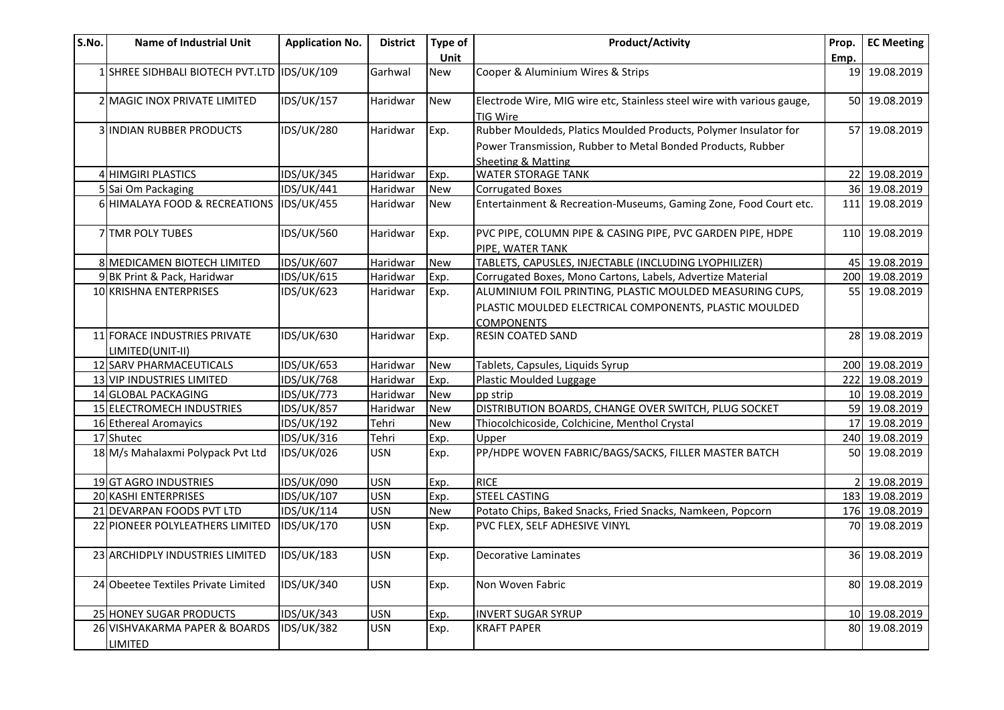| S.No. | <b>Name of Industrial Unit</b>                   | <b>Application No.</b> | <b>District</b> | Type of    | <b>Product/Activity</b>                                                                                                                               | Prop. | <b>EC Meeting</b> |
|-------|--------------------------------------------------|------------------------|-----------------|------------|-------------------------------------------------------------------------------------------------------------------------------------------------------|-------|-------------------|
|       |                                                  |                        |                 | Unit       |                                                                                                                                                       | Emp.  |                   |
|       | 1 SHREE SIDHBALI BIOTECH PVT.LTD IDS/UK/109      |                        | Garhwal         | <b>New</b> | Cooper & Aluminium Wires & Strips                                                                                                                     |       | 19 19.08.2019     |
|       | 2 MAGIC INOX PRIVATE LIMITED                     | <b>IDS/UK/157</b>      | Haridwar        | <b>New</b> | Electrode Wire, MIG wire etc, Stainless steel wire with various gauge,<br><b>TIG Wire</b>                                                             |       | 50 19.08.2019     |
|       | <b>3 IINDIAN RUBBER PRODUCTS</b>                 | <b>IDS/UK/280</b>      | Haridwar        | Exp.       | Rubber Mouldeds, Platics Moulded Products, Polymer Insulator for<br>Power Transmission, Rubber to Metal Bonded Products, Rubber<br>Sheeting & Matting |       | 57 19.08.2019     |
|       | 4 HIMGIRI PLASTICS                               | <b>IDS/UK/345</b>      | Haridwar        | Exp.       | <b>WATER STORAGE TANK</b>                                                                                                                             |       | 22 19.08.2019     |
|       | 5 Sai Om Packaging                               | <b>IDS/UK/441</b>      | Haridwar        | <b>New</b> | <b>Corrugated Boxes</b>                                                                                                                               |       | 36 19.08.2019     |
|       | 6 HIMALAYA FOOD & RECREATIONS IDS/UK/455         |                        | Haridwar        | <b>New</b> | Entertainment & Recreation-Museums, Gaming Zone, Food Court etc.                                                                                      |       | 111 19.08.2019    |
|       | 7 TMR POLY TUBES                                 | <b>IDS/UK/560</b>      | Haridwar        | Exp.       | PVC PIPE, COLUMN PIPE & CASING PIPE, PVC GARDEN PIPE, HDPE<br>PIPE, WATER TANK                                                                        |       | 110 19.08.2019    |
|       | 8 MEDICAMEN BIOTECH LIMITED                      | <b>IDS/UK/607</b>      | Haridwar        | <b>New</b> | TABLETS, CAPUSLES, INJECTABLE (INCLUDING LYOPHILIZER)                                                                                                 |       | 45 19.08.2019     |
|       | 9 BK Print & Pack, Haridwar                      | <b>IDS/UK/615</b>      | Haridwar        | Exp.       | Corrugated Boxes, Mono Cartons, Labels, Advertize Material                                                                                            |       | 200 19.08.2019    |
|       | 10 KRISHNA ENTERPRISES                           | IDS/UK/623             | Haridwar        | Exp.       | ALUMINIUM FOIL PRINTING, PLASTIC MOULDED MEASURING CUPS,<br>PLASTIC MOULDED ELECTRICAL COMPONENTS, PLASTIC MOULDED<br><b>COMPONENTS</b>               |       | 55 19.08.2019     |
|       | 11 FORACE INDUSTRIES PRIVATE<br>LIMITED(UNIT-II) | <b>IDS/UK/630</b>      | Haridwar        | Exp.       | <b>RESIN COATED SAND</b>                                                                                                                              |       | 28 19.08.2019     |
|       | 12 SARV PHARMACEUTICALS                          | <b>IDS/UK/653</b>      | Haridwar        | <b>New</b> | Tablets, Capsules, Liquids Syrup                                                                                                                      |       | 200 19.08.2019    |
|       | 13 VIP INDUSTRIES LIMITED                        | <b>IDS/UK/768</b>      | Haridwar        | Exp.       | Plastic Moulded Luggage                                                                                                                               |       | 222 19.08.2019    |
|       | 14 GLOBAL PACKAGING                              | <b>IDS/UK/773</b>      | Haridwar        | <b>New</b> | pp strip                                                                                                                                              |       | 10 19.08.2019     |
|       | 15 ELECTROMECH INDUSTRIES                        | <b>IDS/UK/857</b>      | Haridwar        | <b>New</b> | DISTRIBUTION BOARDS, CHANGE OVER SWITCH, PLUG SOCKET                                                                                                  |       | 59 19.08.2019     |
|       | 16 Ethereal Aromayics                            | IDS/UK/192             | Tehri           | <b>New</b> | Thiocolchicoside, Colchicine, Menthol Crystal                                                                                                         |       | 17 19.08.2019     |
|       | 17 Shutec                                        | <b>IDS/UK/316</b>      | Tehri           | Exp.       | Upper                                                                                                                                                 |       | 240 19.08.2019    |
|       | 18 M/s Mahalaxmi Polypack Pvt Ltd                | <b>IDS/UK/026</b>      | <b>USN</b>      | Exp.       | PP/HDPE WOVEN FABRIC/BAGS/SACKS, FILLER MASTER BATCH                                                                                                  |       | 50 19.08.2019     |
|       | 19 GT AGRO INDUSTRIES                            | IDS/UK/090             | <b>USN</b>      | Exp.       | <b>RICE</b>                                                                                                                                           |       | 19.08.2019        |
|       | 20 KASHI ENTERPRISES                             | <b>IDS/UK/107</b>      | <b>USN</b>      | Exp.       | <b>STEEL CASTING</b>                                                                                                                                  |       | 183 19.08.2019    |
|       | 21 DEVARPAN FOODS PVT LTD                        | <b>IDS/UK/114</b>      | <b>USN</b>      | <b>New</b> | Potato Chips, Baked Snacks, Fried Snacks, Namkeen, Popcorn                                                                                            |       | 176 19.08.2019    |
|       | 22 PIONEER POLYLEATHERS LIMITED                  | <b>IDS/UK/170</b>      | <b>USN</b>      | Exp.       | PVC FLEX, SELF ADHESIVE VINYL                                                                                                                         |       | 70 19.08.2019     |
|       | 23 ARCHIDPLY INDUSTRIES LIMITED                  | <b>IDS/UK/183</b>      | <b>USN</b>      | Exp.       | Decorative Laminates                                                                                                                                  |       | 36 19.08.2019     |
|       | 24 Obeetee Textiles Private Limited              | <b>IDS/UK/340</b>      | <b>USN</b>      | Exp.       | Non Woven Fabric                                                                                                                                      | 80    | 19.08.2019        |
|       | 25 HONEY SUGAR PRODUCTS                          | <b>IDS/UK/343</b>      | <b>USN</b>      | Exp.       | <b>INVERT SUGAR SYRUP</b>                                                                                                                             |       | 10 19.08.2019     |
|       | 26 VISHVAKARMA PAPER & BOARDS<br><b>LIMITED</b>  | <b>IDS/UK/382</b>      | <b>USN</b>      | Exp.       | <b>KRAFT PAPER</b>                                                                                                                                    |       | 80 19.08.2019     |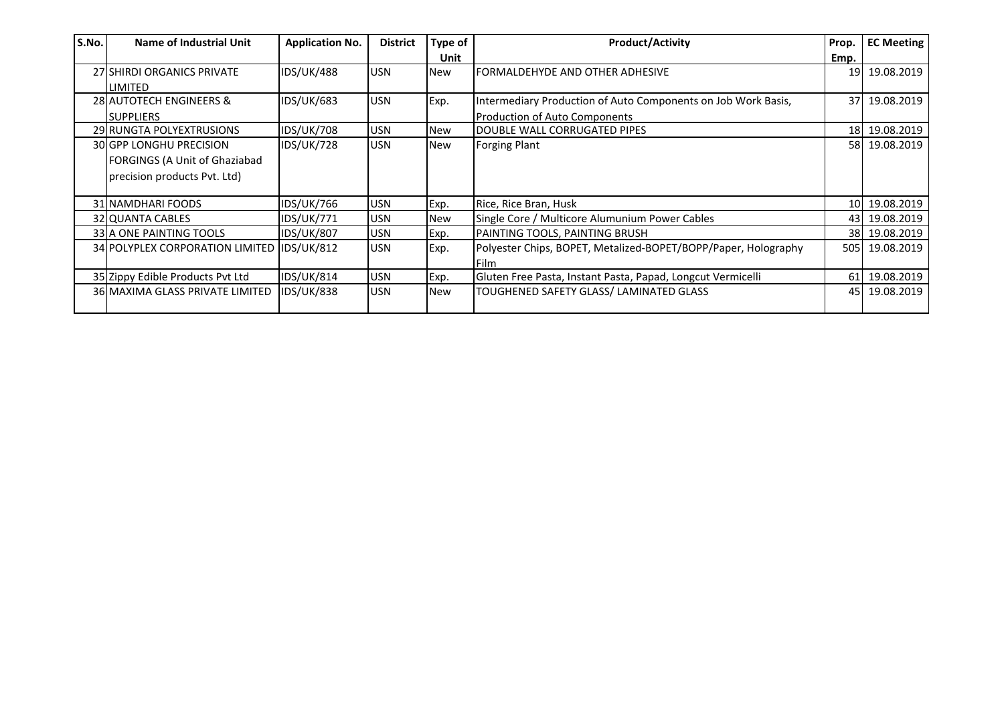| S.No. | Name of Industrial Unit                                                                                | <b>Application No.</b> | <b>District</b> | Type of    | <b>Product/Activity</b>                                                                               | Prop.           | <b>EC Meeting</b> |
|-------|--------------------------------------------------------------------------------------------------------|------------------------|-----------------|------------|-------------------------------------------------------------------------------------------------------|-----------------|-------------------|
|       |                                                                                                        |                        |                 | Unit       |                                                                                                       | Emp.            |                   |
|       | 27 SHIRDI ORGANICS PRIVATE<br><b>LIMITED</b>                                                           | <b>IDS/UK/488</b>      | <b>USN</b>      | <b>New</b> | FORMALDEHYDE AND OTHER ADHESIVE                                                                       |                 | 19 19.08.2019     |
|       | 28 AUTOTECH ENGINEERS &<br><b>ISUPPLIERS</b>                                                           | <b>IDS/UK/683</b>      | <b>USN</b>      | Exp.       | Intermediary Production of Auto Components on Job Work Basis,<br><b>Production of Auto Components</b> | 37 <sup>1</sup> | 19.08.2019        |
|       | 29 RUNGTA POLYEXTRUSIONS                                                                               | <b>IDS/UK/708</b>      | <b>USN</b>      | <b>New</b> | DOUBLE WALL CORRUGATED PIPES                                                                          |                 | 18 19.08.2019     |
|       | <b>30 GPP LONGHU PRECISION</b><br><b>FORGINGS (A Unit of Ghaziabad</b><br>precision products Pvt. Ltd) | <b>IDS/UK/728</b>      | <b>USN</b>      | New        | <b>Forging Plant</b>                                                                                  |                 | 58 19.08.2019     |
|       | 31 NAMDHARI FOODS                                                                                      | <b>IDS/UK/766</b>      | <b>USN</b>      | Exp.       | Rice, Rice Bran, Husk                                                                                 |                 | 10 19.08.2019     |
|       | 32 QUANTA CABLES                                                                                       | <b>IDS/UK/771</b>      | <b>USN</b>      | <b>New</b> | Single Core / Multicore Alumunium Power Cables                                                        |                 | 43 19.08.2019     |
|       | 33 A ONE PAINTING TOOLS                                                                                | <b>IDS/UK/807</b>      | <b>JUSN</b>     | Exp.       | PAINTING TOOLS, PAINTING BRUSH                                                                        |                 | 38 19.08.2019     |
|       | 34 POLYPLEX CORPORATION LIMITED IDS/UK/812                                                             |                        | <b>USN</b>      | Exp.       | Polyester Chips, BOPET, Metalized-BOPET/BOPP/Paper, Holography<br>Film                                |                 | 505 19.08.2019    |
|       | 35 Zippy Edible Products Pvt Ltd                                                                       | <b>IDS/UK/814</b>      | <b>USN</b>      | Exp.       | Gluten Free Pasta, Instant Pasta, Papad, Longcut Vermicelli                                           |                 | 61 19.08.2019     |
|       | 36 MAXIMA GLASS PRIVATE LIMITED                                                                        | <b>IDS/UK/838</b>      | <b>USN</b>      | New        | TOUGHENED SAFETY GLASS/ LAMINATED GLASS                                                               |                 | 45 19.08.2019     |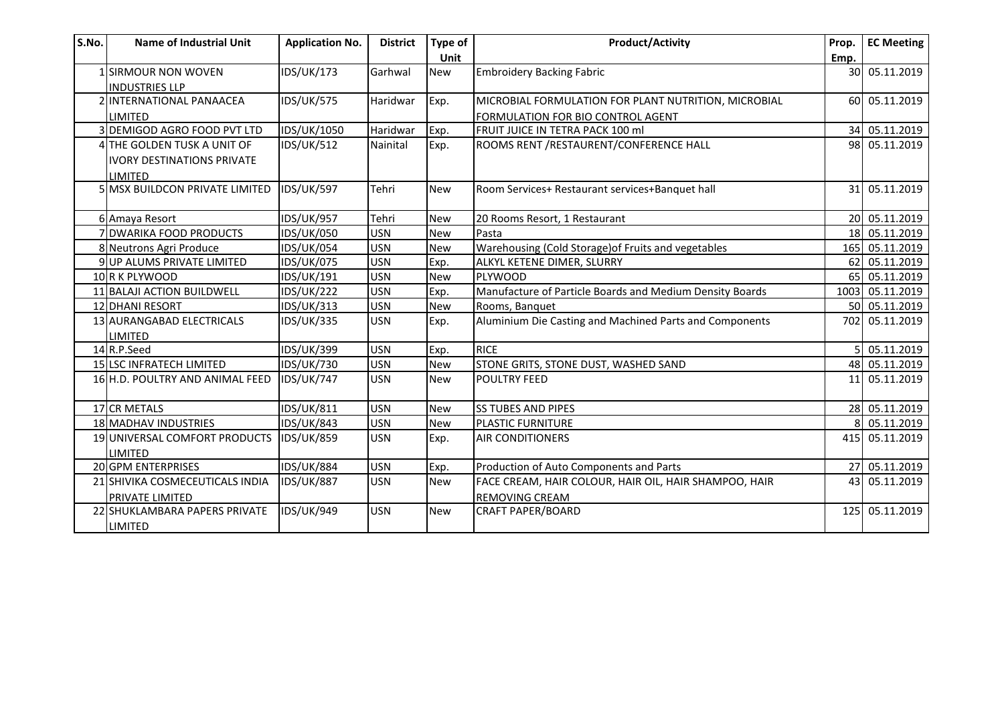| S.No. | <b>Name of Industrial Unit</b>    | <b>Application No.</b> | <b>District</b> | Type of    | <b>Product/Activity</b>                                  | Prop. | <b>EC Meeting</b> |
|-------|-----------------------------------|------------------------|-----------------|------------|----------------------------------------------------------|-------|-------------------|
|       |                                   |                        |                 | Unit       |                                                          | Emp.  |                   |
|       | 1 SIRMOUR NON WOVEN               | <b>IDS/UK/173</b>      | Garhwal         | <b>New</b> | <b>Embroidery Backing Fabric</b>                         |       | 30 05.11.2019     |
|       | <b>INDUSTRIES LLP</b>             |                        |                 |            |                                                          |       |                   |
|       | 2 INTERNATIONAL PANAACEA          | <b>IDS/UK/575</b>      | Haridwar        | Exp.       | MICROBIAL FORMULATION FOR PLANT NUTRITION, MICROBIAL     |       | 60 05.11.2019     |
|       | LIMITED                           |                        |                 |            | FORMULATION FOR BIO CONTROL AGENT                        |       |                   |
|       | 3 DEMIGOD AGRO FOOD PVT LTD       | IDS/UK/1050            | Haridwar        | Exp.       | FRUIT JUICE IN TETRA PACK 100 ml                         |       | 34 05.11.2019     |
|       | 4 THE GOLDEN TUSK A UNIT OF       | <b>IDS/UK/512</b>      | Nainital        | Exp.       | ROOMS RENT /RESTAURENT/CONFERENCE HALL                   |       | 98 05.11.2019     |
|       | <b>IVORY DESTINATIONS PRIVATE</b> |                        |                 |            |                                                          |       |                   |
|       | LIMITED                           |                        |                 |            |                                                          |       |                   |
|       | 5 MSX BUILDCON PRIVATE LIMITED    | <b>IDS/UK/597</b>      | Tehri           | <b>New</b> | Room Services+ Restaurant services+Banquet hall          |       | 31 05.11.2019     |
|       |                                   |                        |                 |            |                                                          |       |                   |
|       | 6 Amaya Resort                    | <b>IDS/UK/957</b>      | Tehri           | <b>New</b> | 20 Rooms Resort, 1 Restaurant                            |       | 20 05.11.2019     |
|       | 7 DWARIKA FOOD PRODUCTS           | <b>IDS/UK/050</b>      | <b>USN</b>      | <b>New</b> | Pasta                                                    |       | 18 05.11.2019     |
|       | 8 Neutrons Agri Produce           | <b>IDS/UK/054</b>      | <b>USN</b>      | <b>New</b> | Warehousing (Cold Storage) of Fruits and vegetables      | 165   | 05.11.2019        |
|       | 9 UP ALUMS PRIVATE LIMITED        | <b>IDS/UK/075</b>      | <b>USN</b>      | Exp.       | ALKYL KETENE DIMER, SLURRY                               |       | 62 05.11.2019     |
|       | 10 R K PLYWOOD                    | IDS/UK/191             | <b>USN</b>      | <b>New</b> | PLYWOOD                                                  | 65    | 05.11.2019        |
|       | 11 BALAJI ACTION BUILDWELL        | <b>IDS/UK/222</b>      | <b>USN</b>      | Exp.       | Manufacture of Particle Boards and Medium Density Boards |       | 1003 05.11.2019   |
|       | <b>12 DHANI RESORT</b>            | <b>IDS/UK/313</b>      | <b>USN</b>      | <b>New</b> | Rooms, Banquet                                           |       | 50 05.11.2019     |
|       | 13 AURANGABAD ELECTRICALS         | IDS/UK/335             | <b>USN</b>      | Exp.       | Aluminium Die Casting and Machined Parts and Components  |       | 702 05.11.2019    |
|       | LIMITED                           |                        |                 |            |                                                          |       |                   |
|       | 14 R.P.Seed                       | IDS/UK/399             | <b>USN</b>      | Exp.       | <b>RICE</b>                                              |       | 05.11.2019        |
|       | 15 LSC INFRATECH LIMITED          | <b>IDS/UK/730</b>      | <b>USN</b>      | <b>New</b> | STONE GRITS, STONE DUST, WASHED SAND                     | 48    | 05.11.2019        |
|       | 16 H.D. POULTRY AND ANIMAL FEED   | <b>IDS/UK/747</b>      | <b>USN</b>      | <b>New</b> | <b>POULTRY FEED</b>                                      |       | 11 05.11.2019     |
|       |                                   |                        |                 |            |                                                          |       |                   |
|       | 17 CR METALS                      | <b>IDS/UK/811</b>      | <b>USN</b>      | <b>New</b> | <b>SS TUBES AND PIPES</b>                                |       | 28 05.11.2019     |
|       | 18 MADHAV INDUSTRIES              | <b>IDS/UK/843</b>      | <b>USN</b>      | <b>New</b> | PLASTIC FURNITURE                                        |       | 05.11.2019        |
|       | 19 UNIVERSAL COMFORT PRODUCTS     | <b>IDS/UK/859</b>      | <b>USN</b>      | Exp.       | <b>AIR CONDITIONERS</b>                                  | 415   | 05.11.2019        |
|       | LIMITED                           |                        |                 |            |                                                          |       |                   |
|       | 20 GPM ENTERPRISES                | <b>IDS/UK/884</b>      | <b>USN</b>      | Exp.       | Production of Auto Components and Parts                  |       | 27 05.11.2019     |
|       | 21 SHIVIKA COSMECEUTICALS INDIA   | <b>IDS/UK/887</b>      | <b>USN</b>      | <b>New</b> | FACE CREAM, HAIR COLOUR, HAIR OIL, HAIR SHAMPOO, HAIR    |       | 43 05.11.2019     |
|       | PRIVATE LIMITED                   |                        |                 |            | <b>REMOVING CREAM</b>                                    |       |                   |
|       | 22 SHUKLAMBARA PAPERS PRIVATE     | <b>IDS/UK/949</b>      | <b>USN</b>      | <b>New</b> | <b>CRAFT PAPER/BOARD</b>                                 |       | 125 05.11.2019    |
|       | <b>LIMITED</b>                    |                        |                 |            |                                                          |       |                   |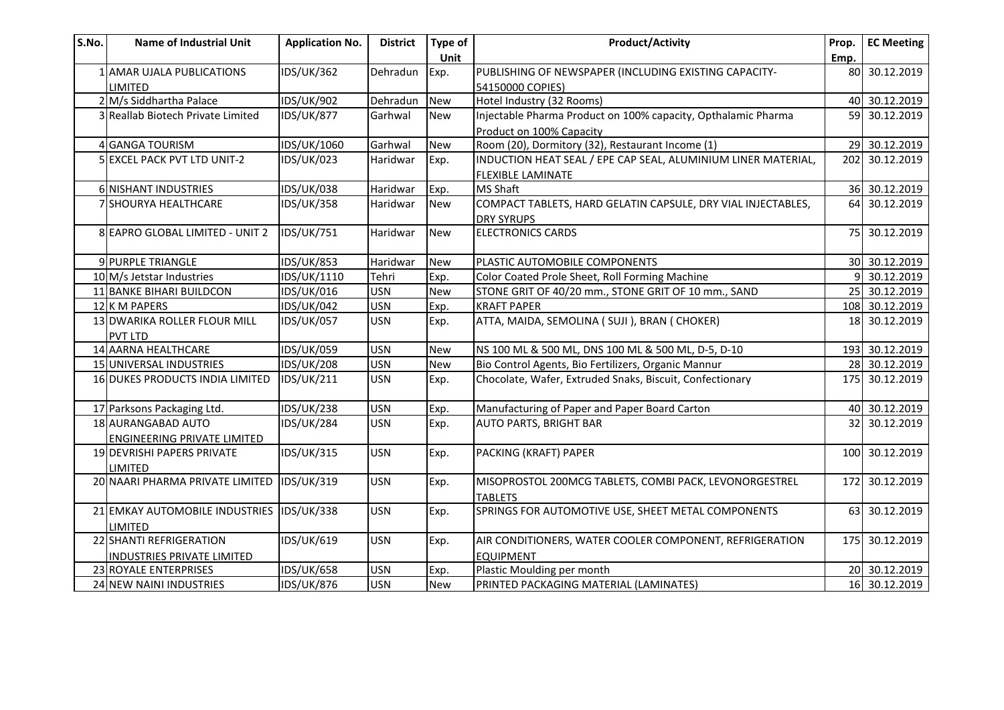| S.No. | <b>Name of Industrial Unit</b>             | <b>Application No.</b> | <b>District</b> | Type of<br>Unit | <b>Product/Activity</b>                                                      | Prop.<br>Emp. | EC Meeting     |
|-------|--------------------------------------------|------------------------|-----------------|-----------------|------------------------------------------------------------------------------|---------------|----------------|
|       | 1 AMAR UJALA PUBLICATIONS                  | <b>IDS/UK/362</b>      | Dehradun        | Exp.            | PUBLISHING OF NEWSPAPER (INCLUDING EXISTING CAPACITY-                        |               | 80 30.12.2019  |
|       | <b>LIMITED</b>                             |                        |                 |                 | 54150000 COPIES)                                                             |               |                |
|       | 2 M/s Siddhartha Palace                    | <b>IDS/UK/902</b>      | Dehradun        | <b>New</b>      | Hotel Industry (32 Rooms)                                                    |               | 40 30.12.2019  |
|       | 3 Reallab Biotech Private Limited          | <b>IDS/UK/877</b>      | Garhwal         | <b>New</b>      | Injectable Pharma Product on 100% capacity, Opthalamic Pharma                |               | 59 30.12.2019  |
|       |                                            |                        |                 |                 |                                                                              |               |                |
|       | 4 GANGA TOURISM                            | IDS/UK/1060            | Garhwal         | <b>New</b>      | Product on 100% Capacity<br>Room (20), Dormitory (32), Restaurant Income (1) |               | 29 30.12.2019  |
|       | 5 EXCEL PACK PVT LTD UNIT-2                | <b>IDS/UK/023</b>      | Haridwar        | Exp.            | INDUCTION HEAT SEAL / EPE CAP SEAL, ALUMINIUM LINER MATERIAL,                |               | 202 30.12.2019 |
|       |                                            |                        |                 |                 | <b>FLEXIBLE LAMINATE</b>                                                     |               |                |
|       | 6 NISHANT INDUSTRIES                       | <b>IDS/UK/038</b>      | Haridwar        | Exp.            | <b>MS Shaft</b>                                                              |               | 36 30.12.2019  |
|       | 7 SHOURYA HEALTHCARE                       | <b>IDS/UK/358</b>      | Haridwar        | <b>New</b>      | COMPACT TABLETS, HARD GELATIN CAPSULE, DRY VIAL INJECTABLES,                 |               | 64 30.12.2019  |
|       |                                            |                        |                 |                 | <b>DRY SYRUPS</b>                                                            |               |                |
|       | 8 EAPRO GLOBAL LIMITED - UNIT 2            | <b>IDS/UK/751</b>      | Haridwar        | <b>New</b>      | <b>ELECTRONICS CARDS</b>                                                     |               | 75 30.12.2019  |
|       |                                            |                        |                 |                 |                                                                              |               |                |
|       | 9 PURPLE TRIANGLE                          | <b>IDS/UK/853</b>      | Haridwar        | <b>New</b>      | PLASTIC AUTOMOBILE COMPONENTS                                                |               | 30 30.12.2019  |
|       | 10 M/s Jetstar Industries                  | IDS/UK/1110            | Tehri           | Exp.            | Color Coated Prole Sheet, Roll Forming Machine                               |               | 9 30.12.2019   |
|       | 11 BANKE BIHARI BUILDCON                   | IDS/UK/016             | <b>USN</b>      | <b>New</b>      | STONE GRIT OF 40/20 mm., STONE GRIT OF 10 mm., SAND                          |               | 25 30.12.2019  |
|       | 12K M PAPERS                               | <b>IDS/UK/042</b>      | <b>USN</b>      | Exp.            | <b>KRAFT PAPER</b>                                                           |               | 108 30.12.2019 |
|       | 13 DWARIKA ROLLER FLOUR MILL               | <b>IDS/UK/057</b>      | <b>USN</b>      | Exp.            | ATTA, MAIDA, SEMOLINA ( SUJI ), BRAN ( CHOKER)                               |               | 18 30.12.2019  |
|       | <b>PVT LTD</b>                             |                        |                 |                 |                                                                              |               |                |
|       | 14 AARNA HEALTHCARE                        | <b>IDS/UK/059</b>      | <b>USN</b>      | New             | NS 100 ML & 500 ML, DNS 100 ML & 500 ML, D-5, D-10                           |               | 193 30.12.2019 |
|       | 15 UNIVERSAL INDUSTRIES                    | <b>IDS/UK/208</b>      | <b>USN</b>      | New             | Bio Control Agents, Bio Fertilizers, Organic Mannur                          |               | 28 30.12.2019  |
|       | 16 DUKES PRODUCTS INDIA LIMITED            | IDS/UK/211             | <b>USN</b>      | Exp.            | Chocolate, Wafer, Extruded Snaks, Biscuit, Confectionary                     |               | 175 30.12.2019 |
|       |                                            |                        |                 |                 |                                                                              |               |                |
|       | 17 Parksons Packaging Ltd.                 | <b>IDS/UK/238</b>      | <b>USN</b>      | Exp.            | Manufacturing of Paper and Paper Board Carton                                |               | 40 30.12.2019  |
|       | 18 AURANGABAD AUTO                         | <b>IDS/UK/284</b>      | <b>USN</b>      | Exp.            | <b>AUTO PARTS, BRIGHT BAR</b>                                                |               | 32 30.12.2019  |
|       | <b>ENGINEERING PRIVATE LIMITED</b>         |                        |                 |                 |                                                                              |               |                |
|       | 19 DEVRISHI PAPERS PRIVATE                 | <b>IDS/UK/315</b>      | <b>USN</b>      | Exp.            | PACKING (KRAFT) PAPER                                                        |               | 100 30.12.2019 |
|       | <b>LIMITED</b>                             |                        |                 |                 |                                                                              |               |                |
|       | 20 NAARI PHARMA PRIVATE LIMITED IDS/UK/319 |                        | <b>USN</b>      | Exp.            | MISOPROSTOL 200MCG TABLETS, COMBI PACK, LEVONORGESTREL                       |               | 172 30.12.2019 |
|       |                                            |                        |                 |                 | <b>TABLETS</b>                                                               |               |                |
|       | 21 EMKAY AUTOMOBILE INDUSTRIES IDS/UK/338  |                        | <b>USN</b>      | Exp.            | SPRINGS FOR AUTOMOTIVE USE, SHEET METAL COMPONENTS                           |               | 63 30.12.2019  |
|       | <b>LIMITED</b>                             |                        |                 |                 |                                                                              |               |                |
|       | 22 SHANTI REFRIGERATION                    | <b>IDS/UK/619</b>      | <b>USN</b>      | Exp.            | AIR CONDITIONERS, WATER COOLER COMPONENT, REFRIGERATION                      |               | 175 30.12.2019 |
|       | <b>INDUSTRIES PRIVATE LIMITED</b>          |                        |                 |                 | <b>EQUIPMENT</b>                                                             |               |                |
|       | 23 ROYALE ENTERPRISES                      | <b>IDS/UK/658</b>      | <b>USN</b>      | Exp.            | Plastic Moulding per month                                                   |               | 20 30.12.2019  |
|       | 24 NEW NAINI INDUSTRIES                    | <b>IDS/UK/876</b>      | <b>USN</b>      | <b>New</b>      | PRINTED PACKAGING MATERIAL (LAMINATES)                                       |               | 16 30.12.2019  |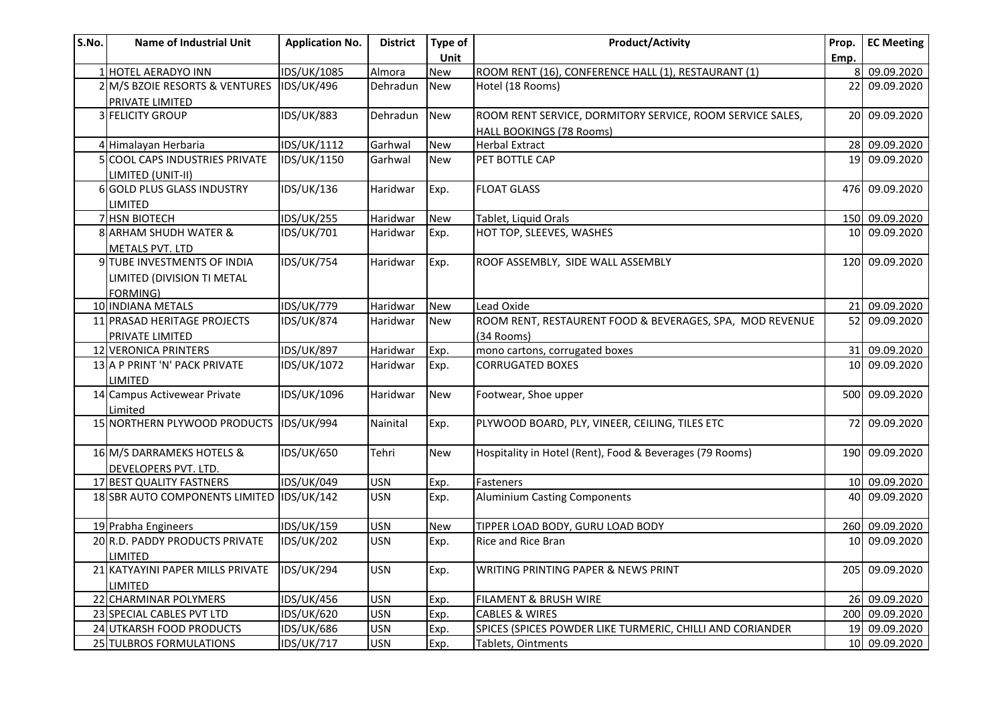| S.No. | <b>Name of Industrial Unit</b>            | <b>Application No.</b> | <b>District</b> | Type of    | <b>Product/Activity</b>                                   | Prop.           | <b>EC Meeting</b> |
|-------|-------------------------------------------|------------------------|-----------------|------------|-----------------------------------------------------------|-----------------|-------------------|
|       |                                           |                        |                 | Unit       |                                                           | Emp.            |                   |
|       | 1 HOTEL AERADYO INN                       | IDS/UK/1085            | Almora          | <b>New</b> | ROOM RENT (16), CONFERENCE HALL (1), RESTAURANT (1)       |                 | 09.09.2020        |
|       | 2 M/S BZOIE RESORTS & VENTURES            | <b>IDS/UK/496</b>      | Dehradun        | <b>New</b> | Hotel (18 Rooms)                                          | 22              | 09.09.2020        |
|       | PRIVATE LIMITED                           |                        |                 |            |                                                           |                 |                   |
|       | 3 FELICITY GROUP                          | <b>IDS/UK/883</b>      | Dehradun        | <b>New</b> | ROOM RENT SERVICE, DORMITORY SERVICE, ROOM SERVICE SALES, |                 | 20 09.09.2020     |
|       |                                           |                        |                 |            | HALL BOOKINGS (78 Rooms)                                  |                 |                   |
|       | 4 Himalayan Herbaria                      | IDS/UK/1112            | Garhwal         | <b>New</b> | <b>Herbal Extract</b>                                     | 28              | 09.09.2020        |
|       | <b>COOL CAPS INDUSTRIES PRIVATE</b>       | IDS/UK/1150            | Garhwal         | <b>New</b> | PET BOTTLE CAP                                            | 19 <sup>1</sup> | 09.09.2020        |
|       | LIMITED (UNIT-II)                         |                        |                 |            |                                                           |                 |                   |
|       | 6 GOLD PLUS GLASS INDUSTRY                | <b>IDS/UK/136</b>      | Haridwar        | Exp.       | <b>FLOAT GLASS</b>                                        |                 | 476 09.09.2020    |
|       | <b>LIMITED</b>                            |                        |                 |            |                                                           |                 |                   |
|       | 7 HSN BIOTECH                             | <b>IDS/UK/255</b>      | Haridwar        | <b>New</b> | Tablet, Liquid Orals                                      | 150             | 09.09.2020        |
|       | 8 ARHAM SHUDH WATER &                     | IDS/UK/701             | Haridwar        | Exp.       | HOT TOP, SLEEVES, WASHES                                  | 10 <sup>1</sup> | 09.09.2020        |
|       | <b>METALS PVT. LTD</b>                    |                        |                 |            |                                                           |                 |                   |
|       | 9 TUBE INVESTMENTS OF INDIA               | <b>IDS/UK/754</b>      | Haridwar        | Exp.       | ROOF ASSEMBLY, SIDE WALL ASSEMBLY                         |                 | 120 09.09.2020    |
|       | LIMITED (DIVISION TI METAL                |                        |                 |            |                                                           |                 |                   |
|       | FORMING)                                  |                        |                 |            |                                                           |                 |                   |
|       | 10 INDIANA METALS                         | <b>IDS/UK/779</b>      | Haridwar        | <b>New</b> | Lead Oxide                                                | 21              | 09.09.2020        |
|       | 11 PRASAD HERITAGE PROJECTS               | <b>IDS/UK/874</b>      | Haridwar        | <b>New</b> | ROOM RENT, RESTAURENT FOOD & BEVERAGES, SPA, MOD REVENUE  | 52 <sub>l</sub> | 09.09.2020        |
|       | PRIVATE LIMITED                           |                        |                 |            | (34 Rooms)                                                |                 |                   |
|       | 12 VERONICA PRINTERS                      | <b>IDS/UK/897</b>      | Haridwar        | Exp.       | mono cartons, corrugated boxes                            | 31              | 09.09.2020        |
|       | 13 A P PRINT 'N' PACK PRIVATE             | IDS/UK/1072            | Haridwar        | Exp.       | <b>CORRUGATED BOXES</b>                                   | 10 <sup>1</sup> | 09.09.2020        |
|       | <b>LIMITED</b>                            |                        |                 |            |                                                           |                 |                   |
|       | 14 Campus Activewear Private              | IDS/UK/1096            | Haridwar        | <b>New</b> | Footwear, Shoe upper                                      |                 | 500 09.09.2020    |
|       | Limited                                   |                        |                 |            |                                                           |                 |                   |
|       | 15 NORTHERN PLYWOOD PRODUCTS IDS/UK/994   |                        | Nainital        | Exp.       | PLYWOOD BOARD, PLY, VINEER, CEILING, TILES ETC            | 72              | 09.09.2020        |
|       |                                           |                        |                 |            |                                                           |                 |                   |
|       | 16 M/S DARRAMEKS HOTELS &                 | IDS/UK/650             | Tehri           | <b>New</b> | Hospitality in Hotel (Rent), Food & Beverages (79 Rooms)  | 190             | 09.09.2020        |
|       | DEVELOPERS PVT. LTD.                      |                        |                 |            |                                                           |                 |                   |
|       | 17 BEST QUALITY FASTNERS                  | IDS/UK/049             | <b>USN</b>      | Exp.       | Fasteners                                                 |                 | 10 09.09.2020     |
|       | 18 SBR AUTO COMPONENTS LIMITED IDS/UK/142 |                        | <b>USN</b>      | Exp.       | <b>Aluminium Casting Components</b>                       | 40              | 09.09.2020        |
|       |                                           |                        |                 |            |                                                           |                 |                   |
|       | 19 Prabha Engineers                       | <b>IDS/UK/159</b>      | <b>USN</b>      | <b>New</b> | TIPPER LOAD BODY, GURU LOAD BODY                          | 260             | 09.09.2020        |
|       | 20 R.D. PADDY PRODUCTS PRIVATE            | <b>IDS/UK/202</b>      | <b>USN</b>      | Exp.       | Rice and Rice Bran                                        | 10              | 09.09.2020        |
|       | LIMITED                                   |                        |                 |            |                                                           |                 |                   |
|       | 21 KATYAYINI PAPER MILLS PRIVATE          | <b>IDS/UK/294</b>      | <b>USN</b>      | Exp.       | WRITING PRINTING PAPER & NEWS PRINT                       | 205             | 09.09.2020        |
|       | LIMITED                                   |                        |                 |            |                                                           |                 |                   |
|       | 22 CHARMINAR POLYMERS                     | <b>IDS/UK/456</b>      | <b>USN</b>      | Exp.       | FILAMENT & BRUSH WIRE                                     |                 | 26 09.09.2020     |
|       | 23 SPECIAL CABLES PVT LTD                 | <b>IDS/UK/620</b>      | <b>USN</b>      | Exp.       | <b>CABLES &amp; WIRES</b>                                 |                 | 200 09.09.2020    |
|       | 24 UTKARSH FOOD PRODUCTS                  | <b>IDS/UK/686</b>      | <b>USN</b>      | Exp.       | SPICES (SPICES POWDER LIKE TURMERIC, CHILLI AND CORIANDER |                 | 19 09.09.2020     |
|       | 25 TULBROS FORMULATIONS                   | <b>IDS/UK/717</b>      | <b>USN</b>      | Exp.       | Tablets, Ointments                                        |                 | 10 09.09.2020     |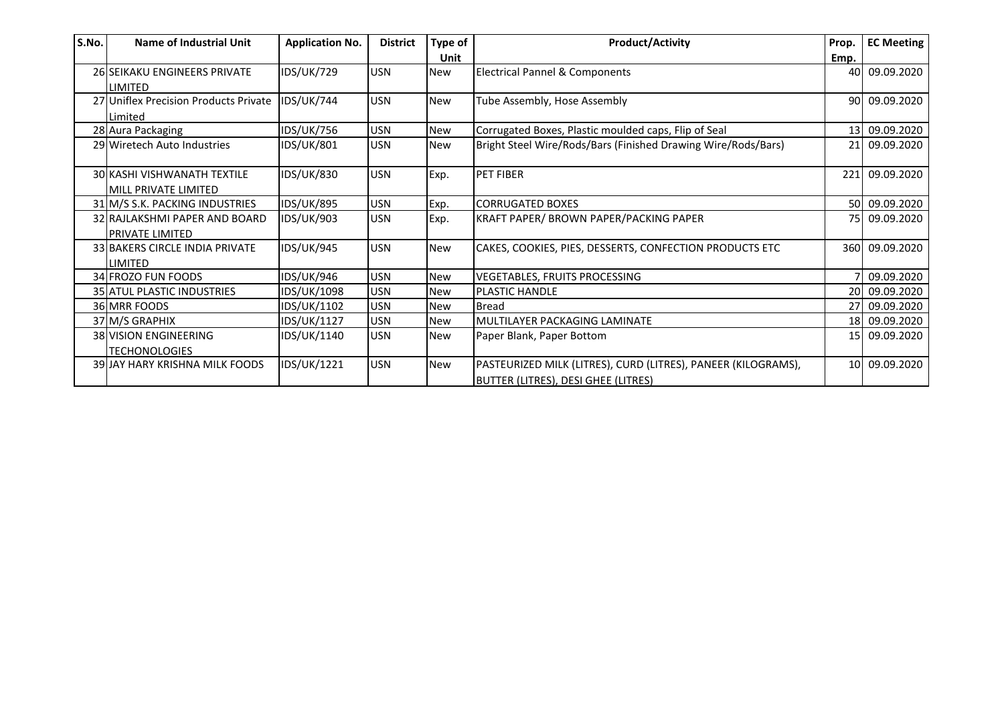| S.No. | Name of Industrial Unit               | <b>Application No.</b> | <b>District</b> | Type of    | <b>Product/Activity</b>                                       | Prop.      | <b>EC Meeting</b> |
|-------|---------------------------------------|------------------------|-----------------|------------|---------------------------------------------------------------|------------|-------------------|
|       |                                       |                        |                 | Unit       |                                                               | Emp.       |                   |
|       | 26 SEIKAKU ENGINEERS PRIVATE          | <b>IDS/UK/729</b>      | <b>USN</b>      | <b>New</b> | <b>Electrical Pannel &amp; Components</b>                     |            | 40 09.09.2020     |
|       | <b>LIMITED</b>                        |                        |                 |            |                                                               |            |                   |
|       | 27 Uniflex Precision Products Private | <b>IDS/UK/744</b>      | <b>USN</b>      | <b>New</b> | Tube Assembly, Hose Assembly                                  |            | 90 09.09.2020     |
|       | Limited                               |                        |                 |            |                                                               |            |                   |
|       | 28 Aura Packaging                     | <b>IDS/UK/756</b>      | <b>USN</b>      | <b>New</b> | Corrugated Boxes, Plastic moulded caps, Flip of Seal          |            | 13 09.09.2020     |
|       | 29 Wiretech Auto Industries           | <b>IDS/UK/801</b>      | <b>USN</b>      | <b>New</b> | Bright Steel Wire/Rods/Bars (Finished Drawing Wire/Rods/Bars) |            | 21 09.09.2020     |
|       |                                       |                        |                 |            |                                                               |            |                   |
|       | <b>30 KASHI VISHWANATH TEXTILE</b>    | <b>IDS/UK/830</b>      | <b>USN</b>      | Exp.       | <b>PET FIBER</b>                                              | <b>221</b> | 09.09.2020        |
|       | <b>MILL PRIVATE LIMITED</b>           |                        |                 |            |                                                               |            |                   |
|       | 31 M/S S.K. PACKING INDUSTRIES        | <b>IDS/UK/895</b>      | <b>USN</b>      | Exp.       | <b>CORRUGATED BOXES</b>                                       |            | 50 09.09.2020     |
|       | 32 RAJLAKSHMI PAPER AND BOARD         | <b>IDS/UK/903</b>      | <b>USN</b>      | Exp.       | KRAFT PAPER/ BROWN PAPER/PACKING PAPER                        |            | 75 09.09.2020     |
|       | <b>PRIVATE LIMITED</b>                |                        |                 |            |                                                               |            |                   |
|       | <b>33 BAKERS CIRCLE INDIA PRIVATE</b> | <b>IDS/UK/945</b>      | <b>USN</b>      | <b>New</b> | CAKES, COOKIES, PIES, DESSERTS, CONFECTION PRODUCTS ETC       |            | 360 09.09.2020    |
|       | <b>LIMITED</b>                        |                        |                 |            |                                                               |            |                   |
|       | 34 FROZO FUN FOODS                    | IDS/UK/946             | <b>USN</b>      | <b>New</b> | <b>VEGETABLES, FRUITS PROCESSING</b>                          |            | 09.09.2020        |
|       | 35 ATUL PLASTIC INDUSTRIES            | IDS/UK/1098            | <b>USN</b>      | <b>New</b> | <b>PLASTIC HANDLE</b>                                         |            | 20 09.09.2020     |
|       | 36 MRR FOODS                          | IDS/UK/1102            | <b>USN</b>      | <b>New</b> | <b>Bread</b>                                                  |            | 27 09.09.2020     |
|       | 37 M/S GRAPHIX                        | IDS/UK/1127            | <b>USN</b>      | <b>New</b> | MULTILAYER PACKAGING LAMINATE                                 |            | 18 09.09.2020     |
|       | <b>38 VISION ENGINEERING</b>          | IDS/UK/1140            | <b>USN</b>      | <b>New</b> | Paper Blank, Paper Bottom                                     |            | 15 09.09.2020     |
|       | <b>TECHONOLOGIES</b>                  |                        |                 |            |                                                               |            |                   |
|       | 39 JAY HARY KRISHNA MILK FOODS        | IDS/UK/1221            | <b>USN</b>      | <b>New</b> | PASTEURIZED MILK (LITRES), CURD (LITRES), PANEER (KILOGRAMS), |            | 10 09.09.2020     |
|       |                                       |                        |                 |            | <b>BUTTER (LITRES), DESI GHEE (LITRES)</b>                    |            |                   |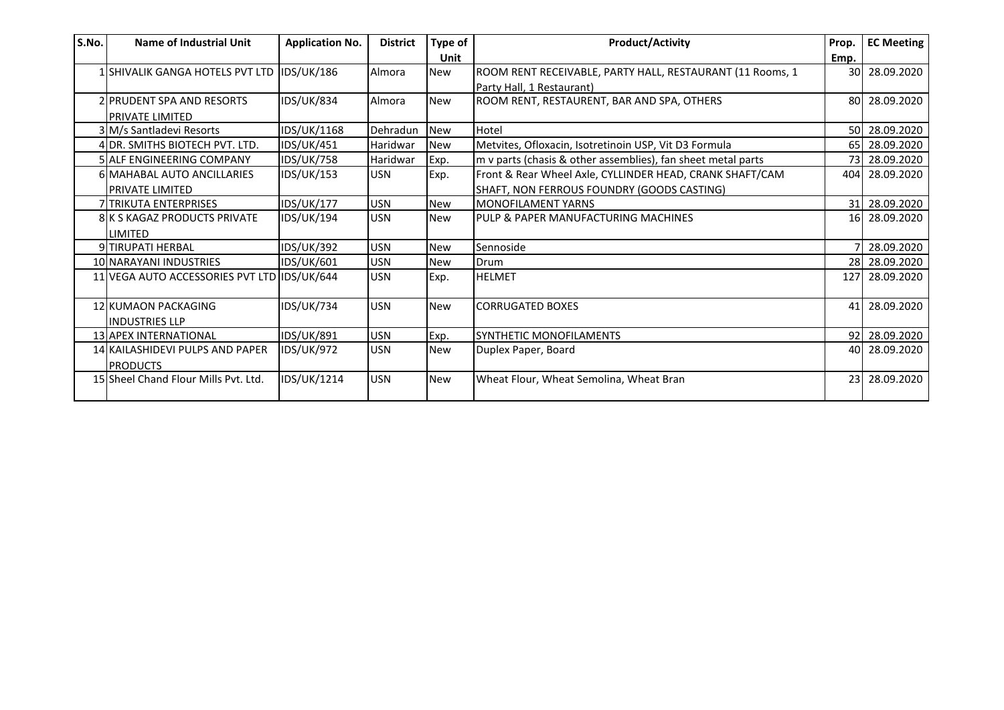| S.No. | Name of Industrial Unit                     | <b>Application No.</b> | <b>District</b> | Type of    | <b>Product/Activity</b>                                      | Prop. | <b>EC Meeting</b> |
|-------|---------------------------------------------|------------------------|-----------------|------------|--------------------------------------------------------------|-------|-------------------|
|       |                                             |                        |                 | Unit       |                                                              | Emp.  |                   |
|       | 1 SHIVALIK GANGA HOTELS PVT LTD IDS/UK/186  |                        | Almora          | <b>New</b> | ROOM RENT RECEIVABLE, PARTY HALL, RESTAURANT (11 Rooms, 1    |       | 30 28.09.2020     |
|       |                                             |                        |                 |            | Party Hall, 1 Restaurant)                                    |       |                   |
|       | <b>2IPRUDENT SPA AND RESORTS</b>            | <b>IDS/UK/834</b>      | Almora          | <b>New</b> | ROOM RENT, RESTAURENT, BAR AND SPA, OTHERS                   |       | 80 28.09.2020     |
|       | <b>PRIVATE LIMITED</b>                      |                        |                 |            |                                                              |       |                   |
|       | 3 M/s Santladevi Resorts                    | IDS/UK/1168            | Dehradun        | <b>New</b> | Hotel                                                        |       | 50 28.09.2020     |
|       | 4 DR. SMITHS BIOTECH PVT. LTD.              | <b>IDS/UK/451</b>      | Haridwar        | <b>New</b> | Metvites, Ofloxacin, Isotretinoin USP, Vit D3 Formula        |       | 65 28.09.2020     |
|       | 5 ALF ENGINEERING COMPANY                   | <b>IDS/UK/758</b>      | Haridwar        | Exp.       | m v parts (chasis & other assemblies), fan sheet metal parts |       | 73 28.09.2020     |
|       | 6 MAHABAL AUTO ANCILLARIES                  | <b>IDS/UK/153</b>      | <b>USN</b>      | Exp.       | Front & Rear Wheel Axle, CYLLINDER HEAD, CRANK SHAFT/CAM     |       | 404 28.09.2020    |
|       | <b>PRIVATE LIMITED</b>                      |                        |                 |            | SHAFT, NON FERROUS FOUNDRY (GOODS CASTING)                   |       |                   |
|       | <b>7 TRIKUTA ENTERPRISES</b>                | <b>IDS/UK/177</b>      | <b>USN</b>      | <b>New</b> | <b>MONOFILAMENT YARNS</b>                                    |       | 31 28.09.2020     |
|       | <b>8 K S KAGAZ PRODUCTS PRIVATE</b>         | <b>IDS/UK/194</b>      | <b>USN</b>      | <b>New</b> | PULP & PAPER MANUFACTURING MACHINES                          |       | 16 28.09.2020     |
|       | <b>LIMITED</b>                              |                        |                 |            |                                                              |       |                   |
|       | 9 TIRUPATI HERBAL                           | <b>IDS/UK/392</b>      | <b>USN</b>      | <b>New</b> | Sennoside                                                    |       | 28.09.2020        |
|       | 10 NARAYANI INDUSTRIES                      | IDS/UK/601             | <b>USN</b>      | <b>New</b> | Drum                                                         |       | 28 28.09.2020     |
|       | 11 VEGA AUTO ACCESSORIES PVT LTD IDS/UK/644 |                        | <b>USN</b>      | Exp.       | <b>HELMET</b>                                                |       | 127 28.09.2020    |
|       |                                             |                        |                 |            |                                                              |       |                   |
|       | 12 KUMAON PACKAGING                         | <b>IDS/UK/734</b>      | <b>USN</b>      | <b>New</b> | <b>CORRUGATED BOXES</b>                                      |       | 41 28.09.2020     |
|       | <b>INDUSTRIES LLP</b>                       |                        |                 |            |                                                              |       |                   |
|       | 13 APEX INTERNATIONAL                       | <b>IDS/UK/891</b>      | <b>USN</b>      | Exp.       | <b>SYNTHETIC MONOFILAMENTS</b>                               |       | 92 28.09.2020     |
|       | 14 KAILASHIDEVI PULPS AND PAPER             | <b>IDS/UK/972</b>      | <b>USN</b>      | <b>New</b> | Duplex Paper, Board                                          |       | 40 28.09.2020     |
|       | <b>PRODUCTS</b>                             |                        |                 |            |                                                              |       |                   |
|       | 15 Sheel Chand Flour Mills Pyt. Ltd.        | IDS/UK/1214            | <b>USN</b>      | <b>New</b> | Wheat Flour, Wheat Semolina, Wheat Bran                      |       | 23 28.09.2020     |
|       |                                             |                        |                 |            |                                                              |       |                   |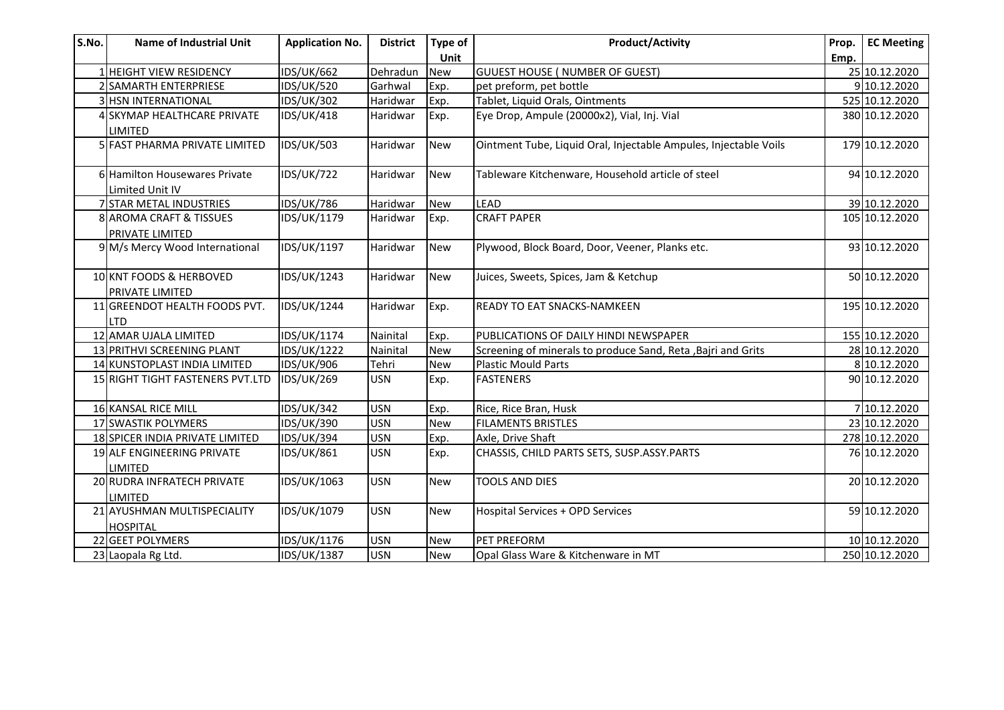| S.No. | <b>Name of Industrial Unit</b>                    | <b>Application No.</b> | <b>District</b> | Type of<br>Unit | <b>Product/Activity</b>                                          | Prop.<br>Emp. | <b>EC Meeting</b> |
|-------|---------------------------------------------------|------------------------|-----------------|-----------------|------------------------------------------------------------------|---------------|-------------------|
|       | 1 HEIGHT VIEW RESIDENCY                           | <b>IDS/UK/662</b>      | Dehradun        | New             | <b>GUUEST HOUSE ( NUMBER OF GUEST)</b>                           |               | 25 10.12.2020     |
|       | 2 SAMARTH ENTERPRIESE                             | <b>IDS/UK/520</b>      | Garhwal         | Exp.            | pet preform, pet bottle                                          |               | 9 10.12.2020      |
|       | 3 HSN INTERNATIONAL                               | <b>IDS/UK/302</b>      | Haridwar        | Exp.            | Tablet, Liquid Orals, Ointments                                  |               | 525 10.12.2020    |
|       | 4 SKYMAP HEALTHCARE PRIVATE<br><b>LIMITED</b>     | <b>IDS/UK/418</b>      | Haridwar        | Exp.            | Eye Drop, Ampule (20000x2), Vial, Inj. Vial                      |               | 380 10.12.2020    |
|       | 5 FAST PHARMA PRIVATE LIMITED                     | <b>IDS/UK/503</b>      | Haridwar        | <b>New</b>      | Ointment Tube, Liquid Oral, Injectable Ampules, Injectable Voils |               | 179 10.12.2020    |
|       | 6 Hamilton Housewares Private<br>Limited Unit IV  | <b>IDS/UK/722</b>      | Haridwar        | New             | Tableware Kitchenware, Household article of steel                |               | 94 10.12.2020     |
|       | 7 STAR METAL INDUSTRIES                           | <b>IDS/UK/786</b>      | Haridwar        | New             | <b>LEAD</b>                                                      |               | 39 10.12.2020     |
|       | 8 AROMA CRAFT & TISSUES<br><b>PRIVATE LIMITED</b> | IDS/UK/1179            | Haridwar        | Exp.            | <b>CRAFT PAPER</b>                                               |               | 105 10.12.2020    |
|       | 9 M/s Mercy Wood International                    | IDS/UK/1197            | Haridwar        | New             | Plywood, Block Board, Door, Veener, Planks etc.                  |               | 93 10.12.2020     |
|       | 10 KNT FOODS & HERBOVED<br><b>PRIVATE LIMITED</b> | IDS/UK/1243            | Haridwar        | <b>New</b>      | Juices, Sweets, Spices, Jam & Ketchup                            |               | 50 10.12.2020     |
|       | 11 GREENDOT HEALTH FOODS PVT.<br><b>LTD</b>       | IDS/UK/1244            | Haridwar        | Exp.            | <b>READY TO EAT SNACKS-NAMKEEN</b>                               |               | 195 10.12.2020    |
|       | 12 AMAR UJALA LIMITED                             | IDS/UK/1174            | Nainital        | Exp.            | PUBLICATIONS OF DAILY HINDI NEWSPAPER                            |               | 155 10.12.2020    |
|       | 13 PRITHVI SCREENING PLANT                        | IDS/UK/1222            | Nainital        | New             | Screening of minerals to produce Sand, Reta, Bajri and Grits     |               | 28 10.12.2020     |
|       | 14 KUNSTOPLAST INDIA LIMITED                      | IDS/UK/906             | Tehri           | <b>New</b>      | <b>Plastic Mould Parts</b>                                       |               | 8 10.12.2020      |
|       | 15 RIGHT TIGHT FASTENERS PVT.LTD                  | IDS/UK/269             | <b>USN</b>      | Exp.            | <b>FASTENERS</b>                                                 |               | 90 10.12.2020     |
|       | 16 KANSAL RICE MILL                               | <b>IDS/UK/342</b>      | <b>USN</b>      | Exp.            | Rice, Rice Bran, Husk                                            |               | 7 10.12.2020      |
|       | 17 SWASTIK POLYMERS                               | <b>IDS/UK/390</b>      | <b>USN</b>      | <b>New</b>      | <b>FILAMENTS BRISTLES</b>                                        |               | 23 10.12.2020     |
|       | 18 SPICER INDIA PRIVATE LIMITED                   | <b>IDS/UK/394</b>      | <b>USN</b>      | Exp.            | Axle, Drive Shaft                                                |               | 278 10.12.2020    |
|       | 19 ALF ENGINEERING PRIVATE<br><b>LIMITED</b>      | IDS/UK/861             | <b>USN</b>      | Exp.            | CHASSIS, CHILD PARTS SETS, SUSP.ASSY.PARTS                       |               | 76 10.12.2020     |
|       | 20 RUDRA INFRATECH PRIVATE<br><b>LIMITED</b>      | IDS/UK/1063            | <b>USN</b>      | New             | <b>TOOLS AND DIES</b>                                            |               | 20 10.12.2020     |
|       | 21 AYUSHMAN MULTISPECIALITY<br><b>HOSPITAL</b>    | IDS/UK/1079            | <b>USN</b>      | New             | Hospital Services + OPD Services                                 |               | 59 10.12.2020     |
|       | 22 GEET POLYMERS                                  | IDS/UK/1176            | <b>USN</b>      | New             | PET PREFORM                                                      |               | 10 10.12.2020     |
|       | 23 Laopala Rg Ltd.                                | IDS/UK/1387            | <b>USN</b>      | New             | Opal Glass Ware & Kitchenware in MT                              |               | 250 10.12.2020    |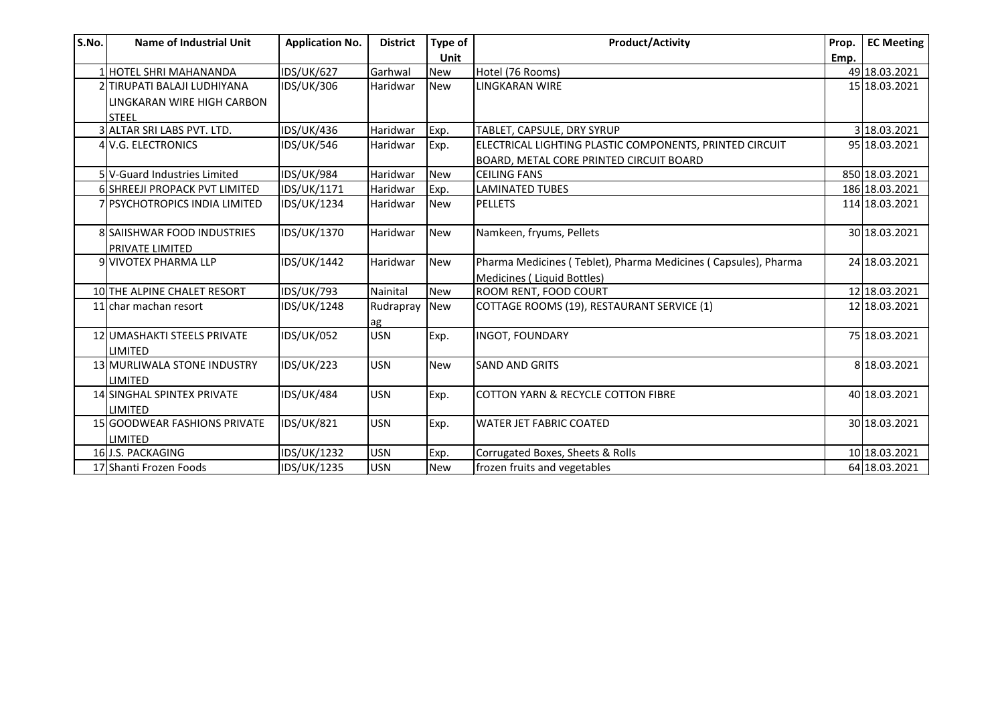| S.No. | <b>Name of Industrial Unit</b>       | <b>Application No.</b> | <b>District</b> | Type of    | <b>Product/Activity</b>                                        | Prop. | <b>EC Meeting</b> |
|-------|--------------------------------------|------------------------|-----------------|------------|----------------------------------------------------------------|-------|-------------------|
|       |                                      |                        |                 | Unit       |                                                                | Emp.  |                   |
|       | 1 HOTEL SHRI MAHANANDA               | <b>IDS/UK/627</b>      | Garhwal         | <b>New</b> | Hotel (76 Rooms)                                               |       | 49 18.03.2021     |
|       | 2 TIRUPATI BALAJI LUDHIYANA          | IDS/UK/306             | Haridwar        | <b>New</b> | <b>LINGKARAN WIRE</b>                                          |       | 15 18.03.2021     |
|       | LINGKARAN WIRE HIGH CARBON           |                        |                 |            |                                                                |       |                   |
|       | <b>STEEL</b>                         |                        |                 |            |                                                                |       |                   |
|       | 3 ALTAR SRI LABS PVT. LTD.           | <b>IDS/UK/436</b>      | Haridwar        | Exp.       | TABLET, CAPSULE, DRY SYRUP                                     |       | 3 18.03.2021      |
|       | 4 V.G. ELECTRONICS                   | <b>IDS/UK/546</b>      | Haridwar        | Exp.       | ELECTRICAL LIGHTING PLASTIC COMPONENTS, PRINTED CIRCUIT        |       | 95 18.03.2021     |
|       |                                      |                        |                 |            | BOARD, METAL CORE PRINTED CIRCUIT BOARD                        |       |                   |
|       | 5 V-Guard Industries Limited         | <b>IDS/UK/984</b>      | Haridwar        | <b>New</b> | <b>CEILING FANS</b>                                            |       | 850 18.03.2021    |
|       | 6 SHREEJI PROPACK PVT LIMITED        | IDS/UK/1171            | Haridwar        | Exp.       | <b>LAMINATED TUBES</b>                                         |       | 186 18.03.2021    |
|       | <b>7 PSYCHOTROPICS INDIA LIMITED</b> | IDS/UK/1234            | Haridwar        | <b>New</b> | <b>PELLETS</b>                                                 |       | 114 18.03.2021    |
|       |                                      |                        |                 |            |                                                                |       |                   |
|       | 8 SAIISHWAR FOOD INDUSTRIES          | IDS/UK/1370            | Haridwar        | <b>New</b> | Namkeen, fryums, Pellets                                       |       | 30 18.03.2021     |
|       | <b>PRIVATE LIMITED</b>               |                        |                 |            |                                                                |       |                   |
|       | 9 VIVOTEX PHARMA LLP                 | IDS/UK/1442            | Haridwar        | <b>New</b> | Pharma Medicines (Teblet), Pharma Medicines (Capsules), Pharma |       | 24 18.03.2021     |
|       |                                      |                        |                 |            | Medicines (Liquid Bottles)                                     |       |                   |
|       | 10 THE ALPINE CHALET RESORT          | <b>IDS/UK/793</b>      | Nainital        | <b>New</b> | ROOM RENT, FOOD COURT                                          |       | 12 18.03.2021     |
|       | 11 char machan resort                | IDS/UK/1248            | Rudrapray       | <b>New</b> | COTTAGE ROOMS (19), RESTAURANT SERVICE (1)                     |       | 12 18.03.2021     |
|       |                                      |                        | ag              |            |                                                                |       |                   |
|       | 12 UMASHAKTI STEELS PRIVATE          | <b>IDS/UK/052</b>      | <b>USN</b>      | Exp.       | <b>INGOT, FOUNDARY</b>                                         |       | 75 18.03.2021     |
|       | <b>LIMITED</b>                       |                        |                 |            |                                                                |       |                   |
|       | 13 MURLIWALA STONE INDUSTRY          | <b>IDS/UK/223</b>      | <b>USN</b>      | <b>New</b> | <b>SAND AND GRITS</b>                                          |       | 8 18.03.2021      |
|       | <b>LIMITED</b>                       |                        |                 |            |                                                                |       |                   |
|       | 14 SINGHAL SPINTEX PRIVATE           | <b>IDS/UK/484</b>      | <b>USN</b>      | Exp.       | <b>COTTON YARN &amp; RECYCLE COTTON FIBRE</b>                  |       | 40 18.03.2021     |
|       | LIMITED                              |                        |                 |            |                                                                |       |                   |
|       | <b>15 GOODWEAR FASHIONS PRIVATE</b>  | <b>IDS/UK/821</b>      | <b>USN</b>      | Exp.       | <b>WATER JET FABRIC COATED</b>                                 |       | 30 18.03.2021     |
|       | <b>LIMITED</b>                       |                        |                 |            |                                                                |       |                   |
|       | 16 J.S. PACKAGING                    | IDS/UK/1232            | <b>USN</b>      | Exp.       | Corrugated Boxes, Sheets & Rolls                               |       | 10 18.03.2021     |
|       | 17 Shanti Frozen Foods               | IDS/UK/1235            | <b>USN</b>      | <b>New</b> | frozen fruits and vegetables                                   |       | 64 18.03.2021     |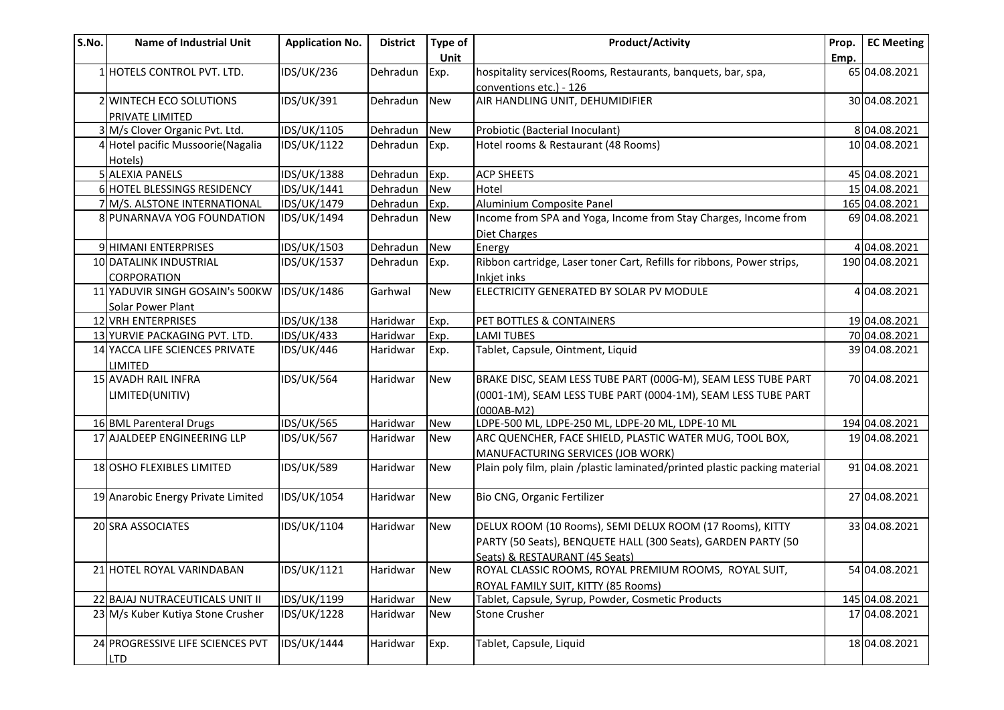| S.No. | <b>Name of Industrial Unit</b>     | <b>Application No.</b> | <b>District</b> | Type of    | <b>Product/Activity</b>                                                    | Prop. | <b>EC Meeting</b> |
|-------|------------------------------------|------------------------|-----------------|------------|----------------------------------------------------------------------------|-------|-------------------|
|       |                                    |                        |                 | Unit       |                                                                            | Emp.  |                   |
|       | 1 HOTELS CONTROL PVT. LTD.         | <b>IDS/UK/236</b>      | Dehradun        | Exp.       | hospitality services(Rooms, Restaurants, banquets, bar, spa,               |       | 65 04.08.2021     |
|       |                                    |                        |                 |            | conventions etc.) - 126                                                    |       |                   |
|       | 2 WINTECH ECO SOLUTIONS            | IDS/UK/391             | Dehradun        | <b>New</b> | AIR HANDLING UNIT, DEHUMIDIFIER                                            |       | 30 04.08.2021     |
|       | PRIVATE LIMITED                    |                        |                 |            |                                                                            |       |                   |
|       | 3 M/s Clover Organic Pvt. Ltd.     | IDS/UK/1105            | Dehradun        | <b>New</b> | Probiotic (Bacterial Inoculant)                                            |       | 804.08.2021       |
|       | 4 Hotel pacific Mussoorie (Nagalia | IDS/UK/1122            | Dehradun        | Exp.       | Hotel rooms & Restaurant (48 Rooms)                                        |       | 10 04.08.2021     |
|       | Hotels)                            |                        |                 |            |                                                                            |       |                   |
|       | 5 ALEXIA PANELS                    | IDS/UK/1388            | Dehradun        | Exp.       | <b>ACP SHEETS</b>                                                          |       | 45 04.08.2021     |
|       | 6 HOTEL BLESSINGS RESIDENCY        | IDS/UK/1441            | Dehradun        | <b>New</b> | Hotel                                                                      |       | 15 04.08.2021     |
|       | 7 M/S. ALSTONE INTERNATIONAL       | IDS/UK/1479            | Dehradun        | Exp.       | Aluminium Composite Panel                                                  |       | 165 04.08.2021    |
|       | 8 PUNARNAVA YOG FOUNDATION         | IDS/UK/1494            | Dehradun        | <b>New</b> | Income from SPA and Yoga, Income from Stay Charges, Income from            |       | 69 04.08.2021     |
|       |                                    |                        |                 |            | Diet Charges                                                               |       |                   |
|       | 9 HIMANI ENTERPRISES               | IDS/UK/1503            | Dehradun        | <b>New</b> | Energy                                                                     |       | 4 04.08.2021      |
|       | 10 DATALINK INDUSTRIAL             | IDS/UK/1537            | Dehradun        | Exp.       | Ribbon cartridge, Laser toner Cart, Refills for ribbons, Power strips,     |       | 190 04.08.2021    |
|       | CORPORATION                        |                        |                 |            | Inkjet inks                                                                |       |                   |
|       | 11 YADUVIR SINGH GOSAIN's 500KW    | IDS/UK/1486            | Garhwal         | <b>New</b> | ELECTRICITY GENERATED BY SOLAR PV MODULE                                   |       | 4 04.08.2021      |
|       | Solar Power Plant                  |                        |                 |            |                                                                            |       |                   |
|       | 12 VRH ENTERPRISES                 | <b>IDS/UK/138</b>      | Haridwar        | Exp.       | PET BOTTLES & CONTAINERS                                                   |       | 19 04.08.2021     |
|       | 13 YURVIE PACKAGING PVT. LTD.      | <b>IDS/UK/433</b>      | Haridwar        | Exp.       | <b>LAMI TUBES</b>                                                          |       | 70 04.08.2021     |
|       | 14 YACCA LIFE SCIENCES PRIVATE     | <b>IDS/UK/446</b>      | Haridwar        | Exp.       | Tablet, Capsule, Ointment, Liquid                                          |       | 39 04.08.2021     |
|       | <b>LIMITED</b>                     |                        |                 |            |                                                                            |       |                   |
|       | 15 AVADH RAIL INFRA                | <b>IDS/UK/564</b>      | Haridwar        | <b>New</b> | BRAKE DISC, SEAM LESS TUBE PART (000G-M), SEAM LESS TUBE PART              |       | 70 04.08.2021     |
|       | LIMITED(UNITIV)                    |                        |                 |            | (0001-1M), SEAM LESS TUBE PART (0004-1M), SEAM LESS TUBE PART              |       |                   |
|       |                                    |                        |                 |            | $(000AB-M2)$                                                               |       |                   |
|       | 16 BML Parenteral Drugs            | <b>IDS/UK/565</b>      | Haridwar        | <b>New</b> | LDPE-500 ML, LDPE-250 ML, LDPE-20 ML, LDPE-10 ML                           |       | 194 04.08.2021    |
|       | 17 AJALDEEP ENGINEERING LLP        | <b>IDS/UK/567</b>      | Haridwar        | <b>New</b> | ARC QUENCHER, FACE SHIELD, PLASTIC WATER MUG, TOOL BOX,                    |       | 19 04.08.2021     |
|       |                                    |                        |                 |            | <b>MANUFACTURING SERVICES (JOB WORK)</b>                                   |       |                   |
|       | 18 OSHO FLEXIBLES LIMITED          | <b>IDS/UK/589</b>      | Haridwar        | <b>New</b> | Plain poly film, plain /plastic laminated/printed plastic packing material |       | 91 04.08.2021     |
|       |                                    |                        |                 |            |                                                                            |       |                   |
|       | 19 Anarobic Energy Private Limited | IDS/UK/1054            | Haridwar        | <b>New</b> | Bio CNG, Organic Fertilizer                                                |       | 27 04.08.2021     |
|       |                                    |                        |                 |            |                                                                            |       |                   |
|       | 20 SRA ASSOCIATES                  | IDS/UK/1104            | Haridwar        | <b>New</b> | DELUX ROOM (10 Rooms), SEMI DELUX ROOM (17 Rooms), KITTY                   |       | 33 04.08.2021     |
|       |                                    |                        |                 |            | PARTY (50 Seats), BENQUETE HALL (300 Seats), GARDEN PARTY (50              |       |                   |
|       |                                    |                        |                 |            | Seats) & RESTAURANT (45 Seats)                                             |       |                   |
|       | 21 HOTEL ROYAL VARINDABAN          | <b>IDS/UK/1121</b>     | Haridwar        | <b>New</b> | ROYAL CLASSIC ROOMS, ROYAL PREMIUM ROOMS, ROYAL SUIT,                      |       | 54 04.08.2021     |
|       |                                    |                        |                 |            | ROYAL FAMILY SUIT, KITTY (85 Rooms)                                        |       |                   |
|       | 22 BAJAJ NUTRACEUTICALS UNIT II    | IDS/UK/1199            | Haridwar        | <b>New</b> | Tablet, Capsule, Syrup, Powder, Cosmetic Products                          |       | 145 04.08.2021    |
|       | 23 M/s Kuber Kutiya Stone Crusher  | IDS/UK/1228            | Haridwar        | <b>New</b> | <b>Stone Crusher</b>                                                       |       | 17 04.08.2021     |
|       |                                    |                        |                 |            |                                                                            |       |                   |
|       | 24 PROGRESSIVE LIFE SCIENCES PVT   | IDS/UK/1444            | Haridwar        | Exp.       | Tablet, Capsule, Liquid                                                    |       | 18 04.08.2021     |
|       | <b>LTD</b>                         |                        |                 |            |                                                                            |       |                   |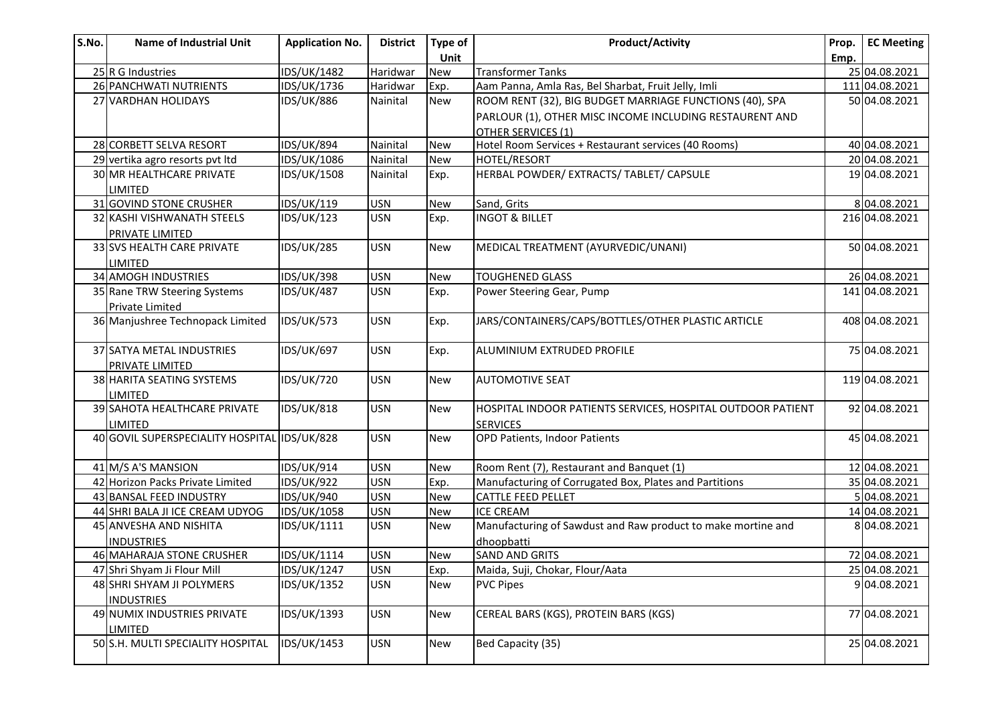| S.No. | <b>Name of Industrial Unit</b>               | <b>Application No.</b> | <b>District</b> | Type of    | <b>Product/Activity</b>                                      | Prop. | <b>EC Meeting</b> |
|-------|----------------------------------------------|------------------------|-----------------|------------|--------------------------------------------------------------|-------|-------------------|
|       |                                              |                        |                 | Unit       |                                                              | Emp.  |                   |
|       | 25 R G Industries                            | <b>IDS/UK/1482</b>     | Haridwar        | <b>New</b> | <b>Transformer Tanks</b>                                     |       | 25 04.08.2021     |
|       | 26 PANCHWATI NUTRIENTS                       | IDS/UK/1736            | Haridwar        | Exp.       | Aam Panna, Amla Ras, Bel Sharbat, Fruit Jelly, Imli          |       | 11104.08.2021     |
|       | 27 VARDHAN HOLIDAYS                          | <b>IDS/UK/886</b>      | Nainital        | <b>New</b> | ROOM RENT (32), BIG BUDGET MARRIAGE FUNCTIONS (40), SPA      |       | 50 04.08.2021     |
|       |                                              |                        |                 |            | PARLOUR (1), OTHER MISC INCOME INCLUDING RESTAURENT AND      |       |                   |
|       |                                              |                        |                 |            | <b>OTHER SERVICES (1)</b>                                    |       |                   |
|       | 28 CORBETT SELVA RESORT                      | <b>IDS/UK/894</b>      | Nainital        | <b>New</b> | Hotel Room Services + Restaurant services (40 Rooms)         |       | 40 04.08.2021     |
|       | 29 vertika agro resorts pvt ltd              | IDS/UK/1086            | Nainital        | New        | HOTEL/RESORT                                                 |       | 20 04.08.2021     |
|       | <b>30 MR HEALTHCARE PRIVATE</b>              | IDS/UK/1508            | Nainital        | Exp.       | HERBAL POWDER/ EXTRACTS/ TABLET/ CAPSULE                     |       | 19 04.08.2021     |
|       | LIMITED                                      |                        |                 |            |                                                              |       |                   |
|       | 31 GOVIND STONE CRUSHER                      | IDS/UK/119             | <b>USN</b>      | <b>New</b> | Sand, Grits                                                  |       | 804.08.2021       |
|       | 32 KASHI VISHWANATH STEELS                   | <b>IDS/UK/123</b>      | <b>USN</b>      | Exp.       | <b>INGOT &amp; BILLET</b>                                    |       | 216 04.08.2021    |
|       | PRIVATE LIMITED                              |                        |                 |            |                                                              |       |                   |
|       | 33 SVS HEALTH CARE PRIVATE                   | <b>IDS/UK/285</b>      | <b>USN</b>      | New        | MEDICAL TREATMENT (AYURVEDIC/UNANI)                          |       | 50 04.08.2021     |
|       | LIMITED                                      |                        |                 |            |                                                              |       |                   |
|       | 34 AMOGH INDUSTRIES                          | <b>IDS/UK/398</b>      | <b>USN</b>      | <b>New</b> | <b>TOUGHENED GLASS</b>                                       |       | 26 04.08.2021     |
|       | 35 Rane TRW Steering Systems                 | <b>IDS/UK/487</b>      | <b>USN</b>      | Exp.       | Power Steering Gear, Pump                                    |       | 141 04.08.2021    |
|       | Private Limited                              |                        |                 |            |                                                              |       |                   |
|       | 36 Manjushree Technopack Limited             | <b>IDS/UK/573</b>      | <b>USN</b>      | Exp.       | JARS/CONTAINERS/CAPS/BOTTLES/OTHER PLASTIC ARTICLE           |       | 408 04.08.2021    |
|       |                                              |                        |                 |            |                                                              |       |                   |
|       | 37 SATYA METAL INDUSTRIES                    | <b>IDS/UK/697</b>      | <b>USN</b>      | Exp.       | ALUMINIUM EXTRUDED PROFILE                                   |       | 75 04.08.2021     |
|       | <b>PRIVATE LIMITED</b>                       |                        |                 |            |                                                              |       |                   |
|       | 38 HARITA SEATING SYSTEMS                    | <b>IDS/UK/720</b>      | <b>USN</b>      | <b>New</b> | <b>AUTOMOTIVE SEAT</b>                                       |       | 119 04.08.2021    |
|       | LIMITED                                      |                        |                 |            |                                                              |       |                   |
|       | 39 SAHOTA HEALTHCARE PRIVATE                 | <b>IDS/UK/818</b>      | <b>USN</b>      | <b>New</b> | HOSPITAL INDOOR PATIENTS SERVICES, HOSPITAL OUTDOOR PATIENT  |       | 92 04.08.2021     |
|       | <b>LIMITED</b>                               |                        |                 |            | <b>SERVICES</b>                                              |       |                   |
|       | 40 GOVIL SUPERSPECIALITY HOSPITAL IDS/UK/828 |                        | <b>USN</b>      | <b>New</b> | <b>OPD Patients, Indoor Patients</b>                         |       | 45 04.08.2021     |
|       |                                              |                        |                 |            |                                                              |       |                   |
|       | 41 M/S A'S MANSION                           | IDS/UK/914             | <b>USN</b>      | New        | Room Rent (7), Restaurant and Banquet (1)                    |       | 12 04.08.2021     |
|       | 42 Horizon Packs Private Limited             | <b>IDS/UK/922</b>      | <b>USN</b>      | Exp.       | Manufacturing of Corrugated Box, Plates and Partitions       |       | 35 04.08.2021     |
|       | 43 BANSAL FEED INDUSTRY                      | IDS/UK/940             | <b>USN</b>      | <b>New</b> | <b>CATTLE FEED PELLET</b>                                    |       | 5 04.08.2021      |
|       | 44 SHRI BALA JI ICE CREAM UDYOG              | IDS/UK/1058            | <b>USN</b>      | <b>New</b> | <b>ICE CREAM</b>                                             |       | 14 04.08.2021     |
|       | 45 ANVESHA AND NISHITA                       | IDS/UK/1111            | <b>USN</b>      | New        | Manufacturing of Sawdust and Raw product to make mortine and |       | 804.08.2021       |
|       | <b>INDUSTRIES</b>                            |                        |                 |            | dhoopbatti                                                   |       |                   |
|       | 46 MAHARAJA STONE CRUSHER                    | IDS/UK/1114            | <b>USN</b>      | <b>New</b> | <b>SAND AND GRITS</b>                                        |       | 72 04.08.2021     |
|       | 47 Shri Shyam Ji Flour Mill                  | <b>IDS/UK/1247</b>     | <b>JUSN</b>     | Exp.       | Maida, Suji, Chokar, Flour/Aata                              |       | 25 04.08.2021     |
|       | 48 SHRI SHYAM JI POLYMERS                    | IDS/UK/1352            | <b>USN</b>      | <b>New</b> | <b>PVC Pipes</b>                                             |       | 904.08.2021       |
|       | <b>INDUSTRIES</b>                            |                        |                 |            |                                                              |       |                   |
|       | 49 NUMIX INDUSTRIES PRIVATE                  | IDS/UK/1393            | <b>USN</b>      | <b>New</b> | CEREAL BARS (KGS), PROTEIN BARS (KGS)                        |       | 77 04.08.2021     |
|       | <b>LIMITED</b>                               |                        |                 |            |                                                              |       |                   |
|       | 50 S.H. MULTI SPECIALITY HOSPITAL            | IDS/UK/1453            | <b>USN</b>      | New        | Bed Capacity (35)                                            |       | 25 04.08.2021     |
|       |                                              |                        |                 |            |                                                              |       |                   |